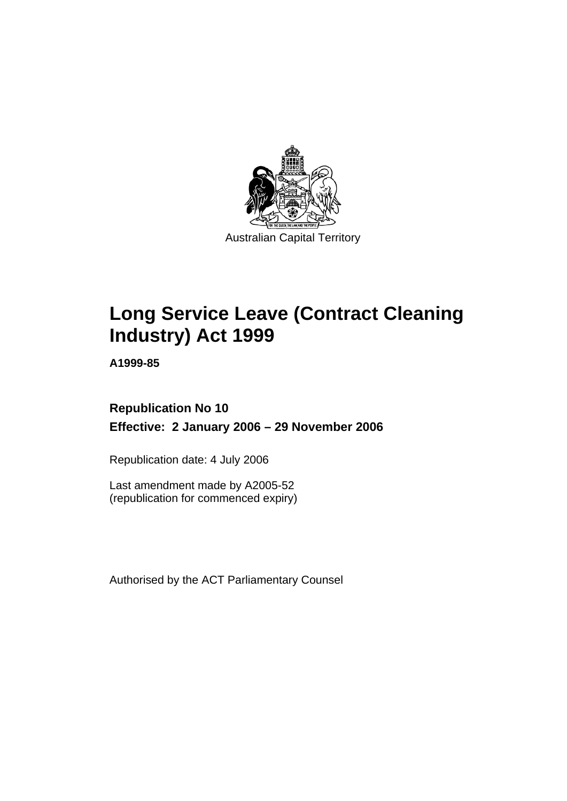

# **Long Service Leave (Contract Cleaning Industry) Act 1999**

**A1999-85** 

## **Republication No 10 Effective: 2 January 2006 – 29 November 2006**

Republication date: 4 July 2006

Last amendment made by A2005-52 (republication for commenced expiry)

Authorised by the ACT Parliamentary Counsel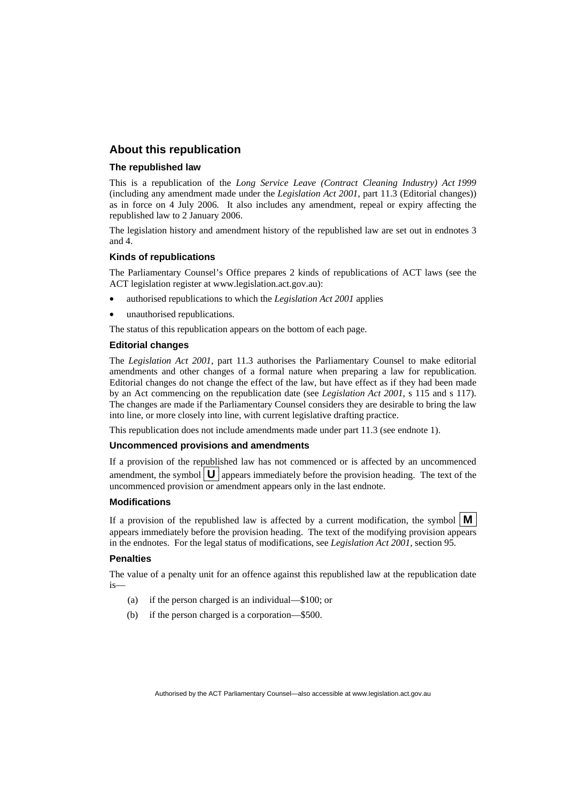### **About this republication**

### **The republished law**

This is a republication of the *Long Service Leave (Contract Cleaning Industry) Act 1999* (including any amendment made under the *Legislation Act 2001*, part 11.3 (Editorial changes)) as in force on 4 July 2006*.* It also includes any amendment, repeal or expiry affecting the republished law to 2 January 2006.

The legislation history and amendment history of the republished law are set out in endnotes 3 and 4.

### **Kinds of republications**

The Parliamentary Counsel's Office prepares 2 kinds of republications of ACT laws (see the ACT legislation register at www.legislation.act.gov.au):

- authorised republications to which the *Legislation Act 2001* applies
- unauthorised republications.

The status of this republication appears on the bottom of each page.

### **Editorial changes**

The *Legislation Act 2001*, part 11.3 authorises the Parliamentary Counsel to make editorial amendments and other changes of a formal nature when preparing a law for republication. Editorial changes do not change the effect of the law, but have effect as if they had been made by an Act commencing on the republication date (see *Legislation Act 2001*, s 115 and s 117). The changes are made if the Parliamentary Counsel considers they are desirable to bring the law into line, or more closely into line, with current legislative drafting practice.

This republication does not include amendments made under part 11.3 (see endnote 1).

### **Uncommenced provisions and amendments**

If a provision of the republished law has not commenced or is affected by an uncommenced amendment, the symbol  $\mathbf{U}$  appears immediately before the provision heading. The text of the uncommenced provision or amendment appears only in the last endnote.

### **Modifications**

If a provision of the republished law is affected by a current modification, the symbol  $\mathbf{M}$ appears immediately before the provision heading. The text of the modifying provision appears in the endnotes. For the legal status of modifications, see *Legislation Act 2001*, section 95.

### **Penalties**

The value of a penalty unit for an offence against this republished law at the republication date is—

- (a) if the person charged is an individual—\$100; or
- (b) if the person charged is a corporation—\$500.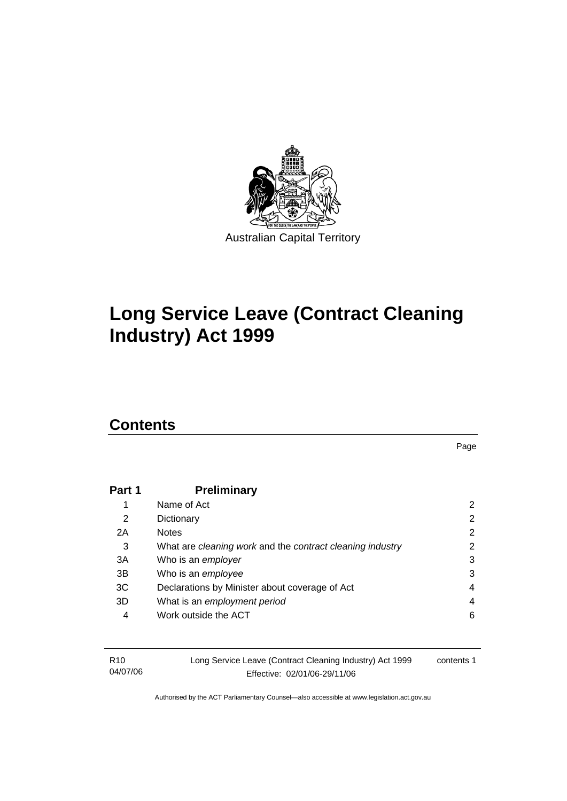

# **Long Service Leave (Contract Cleaning Industry) Act 1999**

## **Contents**

Page

| Part 1 | <b>Preliminary</b>                                        |   |
|--------|-----------------------------------------------------------|---|
|        | Name of Act                                               | 2 |
| 2      | Dictionary                                                | 2 |
| 2A     | <b>Notes</b>                                              | 2 |
| 3      | What are cleaning work and the contract cleaning industry | 2 |
| 3A     | Who is an employer                                        | 3 |
| 3B     | Who is an employee                                        | 3 |
| 3C     | Declarations by Minister about coverage of Act            | 4 |
| 3D     | What is an employment period                              | 4 |
| 4      | Work outside the ACT                                      | 6 |
|        |                                                           |   |

| R10      | Long Service Leave (Contract Cleaning Industry) Act 1999 | contents 1 |
|----------|----------------------------------------------------------|------------|
| 04/07/06 | Effective: 02/01/06-29/11/06                             |            |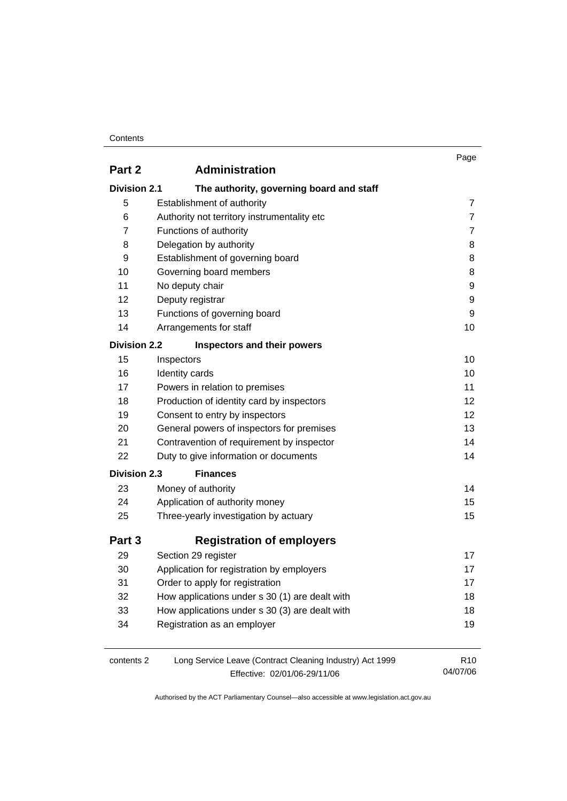### **Contents**

|                     |                                                                                          | Page                        |
|---------------------|------------------------------------------------------------------------------------------|-----------------------------|
| Part 2              | <b>Administration</b>                                                                    |                             |
| <b>Division 2.1</b> | The authority, governing board and staff                                                 |                             |
| 5                   | Establishment of authority                                                               | 7                           |
| 6                   | Authority not territory instrumentality etc                                              | $\overline{7}$              |
| 7                   | Functions of authority                                                                   | 7                           |
| 8                   | Delegation by authority                                                                  | 8                           |
| 9                   | Establishment of governing board                                                         | 8                           |
| 10                  | Governing board members                                                                  | 8                           |
| 11                  | No deputy chair                                                                          | 9                           |
| 12                  | Deputy registrar                                                                         | 9                           |
| 13                  | Functions of governing board                                                             | 9                           |
| 14                  | Arrangements for staff                                                                   | 10                          |
| <b>Division 2.2</b> | Inspectors and their powers                                                              |                             |
| 15                  | Inspectors                                                                               | 10                          |
| 16                  | Identity cards                                                                           | 10                          |
| 17                  | Powers in relation to premises                                                           | 11                          |
| 18                  | Production of identity card by inspectors                                                | 12                          |
| 19                  | Consent to entry by inspectors                                                           | 12                          |
| 20                  | General powers of inspectors for premises                                                | 13                          |
| 21                  | Contravention of requirement by inspector                                                | 14                          |
| 22                  | Duty to give information or documents                                                    | 14                          |
| <b>Division 2.3</b> | <b>Finances</b>                                                                          |                             |
| 23                  | Money of authority                                                                       | 14                          |
| 24                  | Application of authority money                                                           | 15                          |
| 25                  | Three-yearly investigation by actuary                                                    | 15                          |
| Part 3              | <b>Registration of employers</b>                                                         |                             |
| 29                  | Section 29 register                                                                      | 17                          |
| 30                  | Application for registration by employers                                                | 17                          |
| 31                  | Order to apply for registration                                                          | 17                          |
| 32                  | How applications under s 30 (1) are dealt with                                           | 18                          |
| 33                  | How applications under s 30 (3) are dealt with                                           | 18                          |
| 34                  | Registration as an employer                                                              | 19                          |
| contents 2          | Long Service Leave (Contract Cleaning Industry) Act 1999<br>Effective: 02/01/06-29/11/06 | R <sub>10</sub><br>04/07/06 |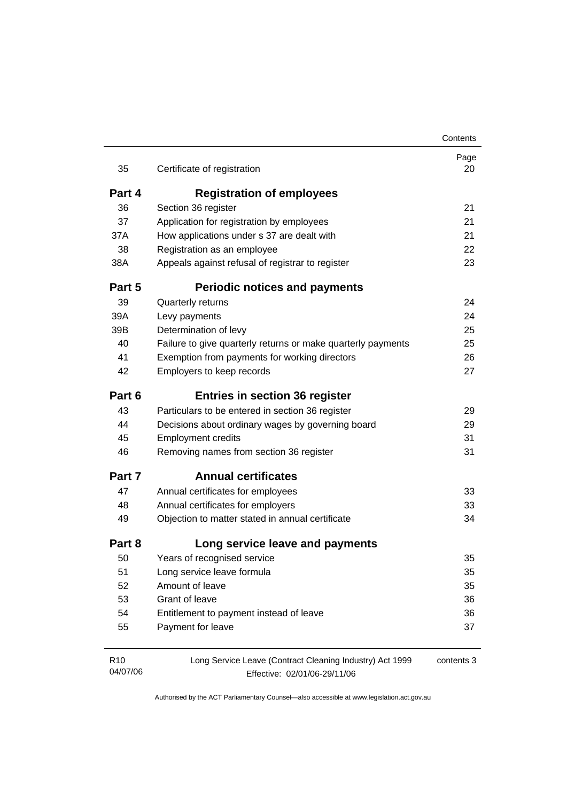|                             |                                                                                          | Contents   |
|-----------------------------|------------------------------------------------------------------------------------------|------------|
| 35                          | Certificate of registration                                                              | Page<br>20 |
| Part 4                      | <b>Registration of employees</b>                                                         |            |
| 36                          | Section 36 register                                                                      | 21         |
| 37                          | Application for registration by employees                                                | 21         |
| 37A                         | How applications under s 37 are dealt with                                               | 21         |
| 38                          | Registration as an employee                                                              | 22         |
| 38A                         | Appeals against refusal of registrar to register                                         | 23         |
| Part 5                      | <b>Periodic notices and payments</b>                                                     |            |
| 39                          | Quarterly returns                                                                        | 24         |
| 39A                         | Levy payments                                                                            | 24         |
| 39B                         | Determination of levy                                                                    | 25         |
| 40                          | Failure to give quarterly returns or make quarterly payments                             | 25         |
| 41                          | Exemption from payments for working directors                                            | 26         |
| 42                          | Employers to keep records                                                                | 27         |
| Part 6                      | <b>Entries in section 36 register</b>                                                    |            |
| 43                          | Particulars to be entered in section 36 register                                         | 29         |
| 44                          | Decisions about ordinary wages by governing board                                        | 29         |
| 45                          | <b>Employment credits</b>                                                                | 31         |
| 46                          | Removing names from section 36 register                                                  | 31         |
| Part 7                      | <b>Annual certificates</b>                                                               |            |
| 47                          | Annual certificates for employees                                                        | 33         |
| 48                          | Annual certificates for employers                                                        | 33         |
| 49                          | Objection to matter stated in annual certificate                                         | 34         |
| Part 8                      | Long service leave and payments                                                          |            |
| 50                          | Years of recognised service                                                              | 35         |
| 51                          | Long service leave formula                                                               | 35         |
| 52                          | Amount of leave                                                                          | 35         |
| 53                          | Grant of leave                                                                           | 36         |
| 54                          | Entitlement to payment instead of leave                                                  | 36         |
| 55                          | Payment for leave                                                                        | 37         |
| R <sub>10</sub><br>04/07/06 | Long Service Leave (Contract Cleaning Industry) Act 1999<br>Effective: 02/01/06-29/11/06 | contents 3 |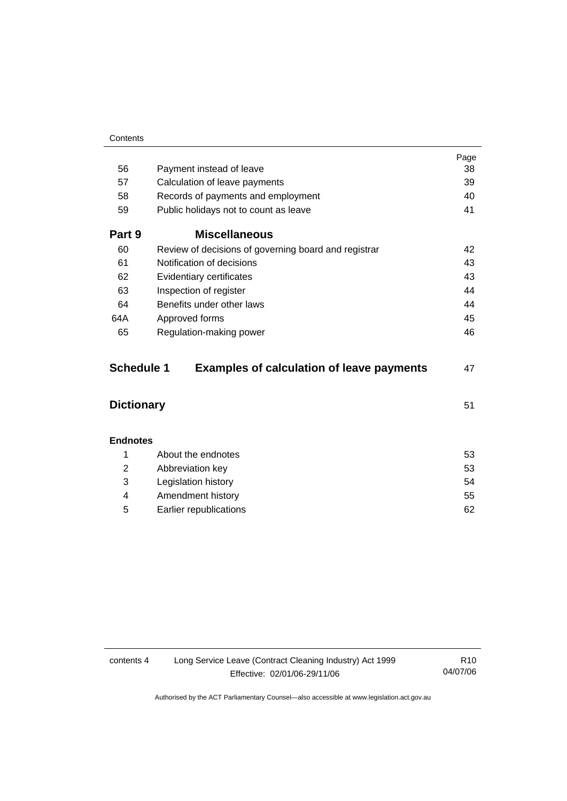|        |                                                      | Page |
|--------|------------------------------------------------------|------|
| 56     | Payment instead of leave                             | 38   |
| 57     | Calculation of leave payments                        | 39   |
| 58     | Records of payments and employment                   | 40   |
| 59     | Public holidays not to count as leave                | 41   |
| Part 9 | <b>Miscellaneous</b>                                 |      |
| 60     | Review of decisions of governing board and registrar | 42   |
| 61     | Notification of decisions                            | 43   |
| 62     | Evidentiary certificates                             | 43   |
| 63     | Inspection of register                               | 44   |
| 64     | Benefits under other laws                            | 44   |
| 64A    | Approved forms                                       | 45   |
| 65     | Regulation-making power                              | 46   |
|        |                                                      |      |

| <b>Schedule 1</b> | <b>Examples of calculation of leave payments</b> | 47 |
|-------------------|--------------------------------------------------|----|
| <b>Dictionary</b> |                                                  | 51 |

| <b>Endnotes</b> |                        |    |
|-----------------|------------------------|----|
| 1               | About the endnotes     | 53 |
| 2               | Abbreviation key       | 53 |
| 3               | Legislation history    | 54 |
| 4               | Amendment history      | 55 |
| 5               | Earlier republications | 62 |

| contents 4 | Long Service Leave (Contract Cleaning Industry) Act 1999 | R10      |
|------------|----------------------------------------------------------|----------|
|            | Effective: 02/01/06-29/11/06                             | 04/07/06 |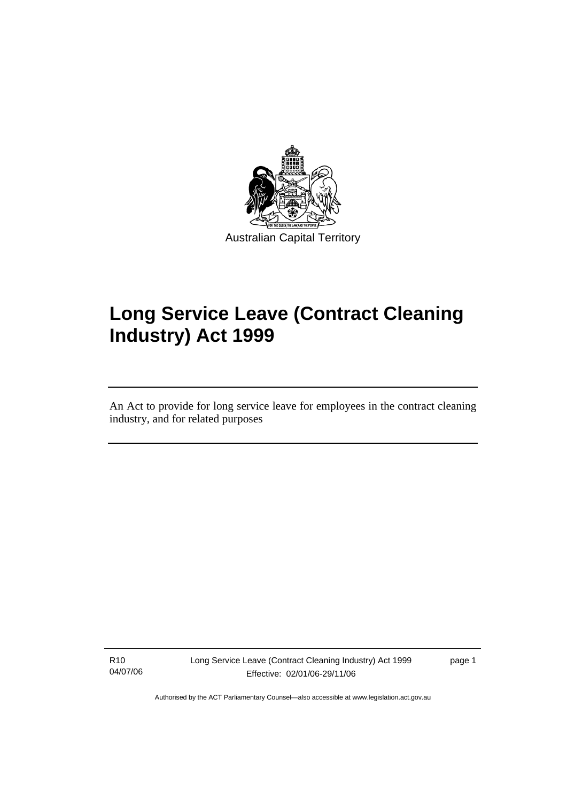

# **Long Service Leave (Contract Cleaning Industry) Act 1999**

An Act to provide for long service leave for employees in the contract cleaning industry, and for related purposes

R10 04/07/06

l

Long Service Leave (Contract Cleaning Industry) Act 1999 Effective: 02/01/06-29/11/06

page 1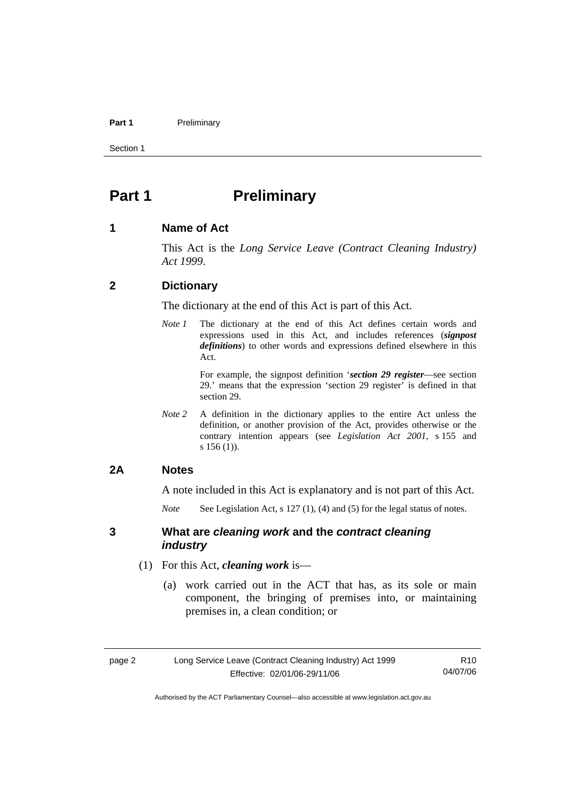#### Part 1 **Preliminary**

Section 1

## **Part 1** Preliminary

### **1 Name of Act**

This Act is the *Long Service Leave (Contract Cleaning Industry) Act 1999*.

### **2 Dictionary**

The dictionary at the end of this Act is part of this Act.

*Note 1* The dictionary at the end of this Act defines certain words and expressions used in this Act, and includes references (*signpost definitions*) to other words and expressions defined elsewhere in this Act.

> For example, the signpost definition '*section 29 register*—see section 29.' means that the expression 'section 29 register' is defined in that section 29.

*Note 2* A definition in the dictionary applies to the entire Act unless the definition, or another provision of the Act, provides otherwise or the contrary intention appears (see *Legislation Act 2001*, s 155 and s 156 (1)).

### **2A Notes**

A note included in this Act is explanatory and is not part of this Act.

*Note* See Legislation Act, s 127 (1), (4) and (5) for the legal status of notes.

### **3 What are** *cleaning work* **and the** *contract cleaning industry*

- (1) For this Act, *cleaning work* is—
	- (a) work carried out in the ACT that has, as its sole or main component, the bringing of premises into, or maintaining premises in, a clean condition; or

R10 04/07/06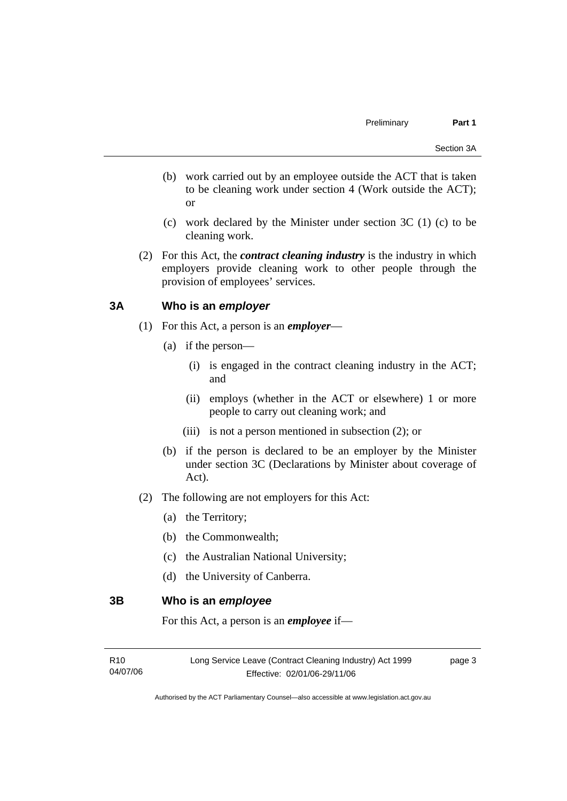- (b) work carried out by an employee outside the ACT that is taken to be cleaning work under section 4 (Work outside the ACT); or
- (c) work declared by the Minister under section 3C (1) (c) to be cleaning work.
- (2) For this Act, the *contract cleaning industry* is the industry in which employers provide cleaning work to other people through the provision of employees' services.

### **3A Who is an** *employer*

- (1) For this Act, a person is an *employer*
	- (a) if the person—
		- (i) is engaged in the contract cleaning industry in the ACT; and
		- (ii) employs (whether in the ACT or elsewhere) 1 or more people to carry out cleaning work; and
		- (iii) is not a person mentioned in subsection (2); or
	- (b) if the person is declared to be an employer by the Minister under section 3C (Declarations by Minister about coverage of Act).
- (2) The following are not employers for this Act:
	- (a) the Territory;
	- (b) the Commonwealth;
	- (c) the Australian National University;
	- (d) the University of Canberra.

**3B Who is an** *employee*

For this Act, a person is an *employee* if—

| R <sub>10</sub> | Long Service Leave (Contract Cleaning Industry) Act 1999 | page 3 |
|-----------------|----------------------------------------------------------|--------|
| 04/07/06        | Effective: 02/01/06-29/11/06                             |        |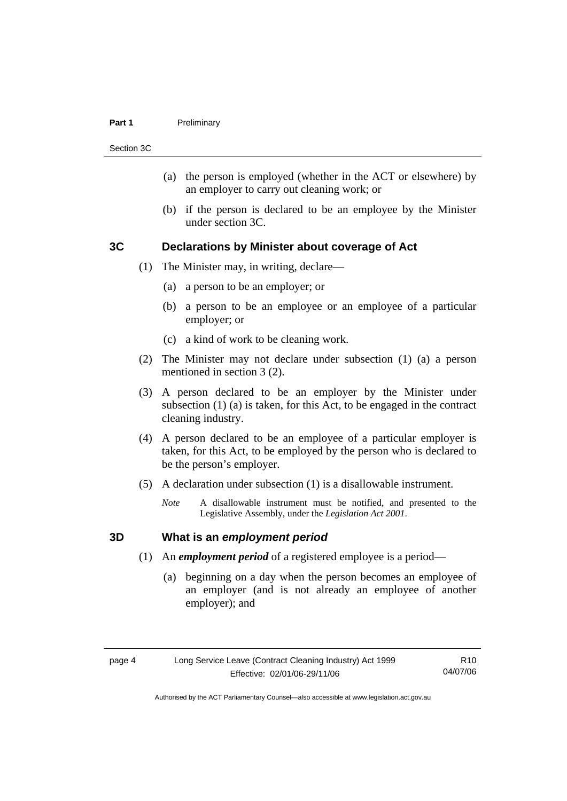#### **Part 1** Preliminary

Section 3C

- (a) the person is employed (whether in the ACT or elsewhere) by an employer to carry out cleaning work; or
- (b) if the person is declared to be an employee by the Minister under section 3C.

### **3C Declarations by Minister about coverage of Act**

- (1) The Minister may, in writing, declare—
	- (a) a person to be an employer; or
	- (b) a person to be an employee or an employee of a particular employer; or
	- (c) a kind of work to be cleaning work.
- (2) The Minister may not declare under subsection (1) (a) a person mentioned in section 3 (2).
- (3) A person declared to be an employer by the Minister under subsection (1) (a) is taken, for this Act, to be engaged in the contract cleaning industry.
- (4) A person declared to be an employee of a particular employer is taken, for this Act, to be employed by the person who is declared to be the person's employer.
- (5) A declaration under subsection (1) is a disallowable instrument.
	- *Note* A disallowable instrument must be notified, and presented to the Legislative Assembly, under the *Legislation Act 2001*.

### **3D What is an** *employment period*

- (1) An *employment period* of a registered employee is a period—
	- (a) beginning on a day when the person becomes an employee of an employer (and is not already an employee of another employer); and

R10 04/07/06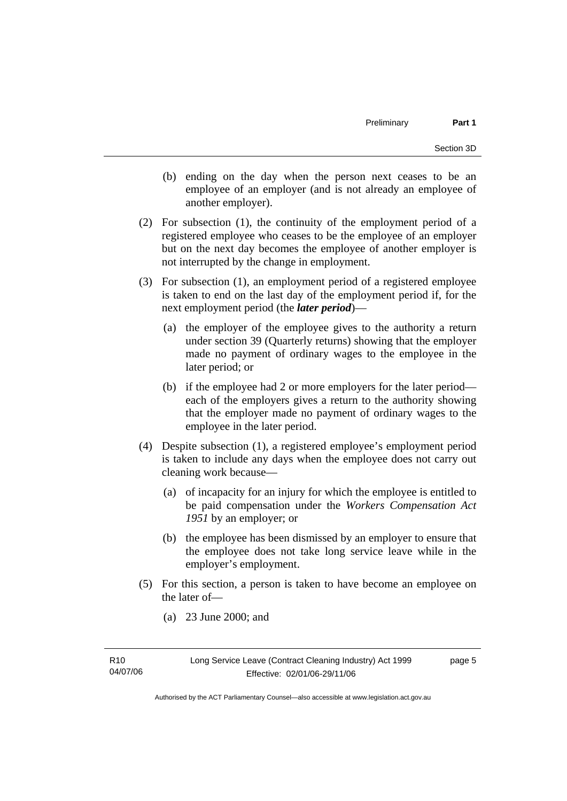- (b) ending on the day when the person next ceases to be an employee of an employer (and is not already an employee of another employer).
- (2) For subsection (1), the continuity of the employment period of a registered employee who ceases to be the employee of an employer but on the next day becomes the employee of another employer is not interrupted by the change in employment.
- (3) For subsection (1), an employment period of a registered employee is taken to end on the last day of the employment period if, for the next employment period (the *later period*)—
	- (a) the employer of the employee gives to the authority a return under section 39 (Quarterly returns) showing that the employer made no payment of ordinary wages to the employee in the later period; or
	- (b) if the employee had 2 or more employers for the later period each of the employers gives a return to the authority showing that the employer made no payment of ordinary wages to the employee in the later period.
- (4) Despite subsection (1), a registered employee's employment period is taken to include any days when the employee does not carry out cleaning work because—
	- (a) of incapacity for an injury for which the employee is entitled to be paid compensation under the *Workers Compensation Act 1951* by an employer; or
	- (b) the employee has been dismissed by an employer to ensure that the employee does not take long service leave while in the employer's employment.
- (5) For this section, a person is taken to have become an employee on the later of—
	- (a) 23 June 2000; and

page 5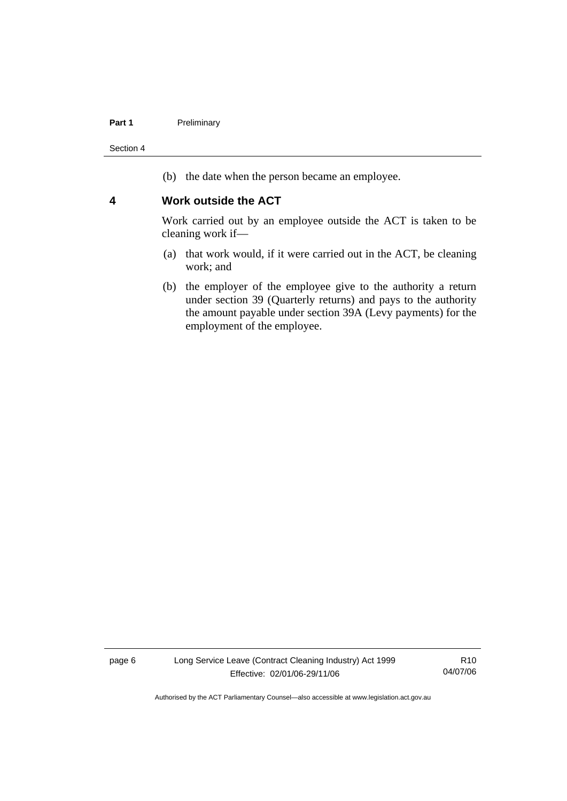### Part 1 **Preliminary**

Section 4

(b) the date when the person became an employee.

### **4 Work outside the ACT**

Work carried out by an employee outside the ACT is taken to be cleaning work if—

- (a) that work would, if it were carried out in the ACT, be cleaning work; and
- (b) the employer of the employee give to the authority a return under section 39 (Quarterly returns) and pays to the authority the amount payable under section 39A (Levy payments) for the employment of the employee.

page 6 Long Service Leave (Contract Cleaning Industry) Act 1999 Effective: 02/01/06-29/11/06

R10 04/07/06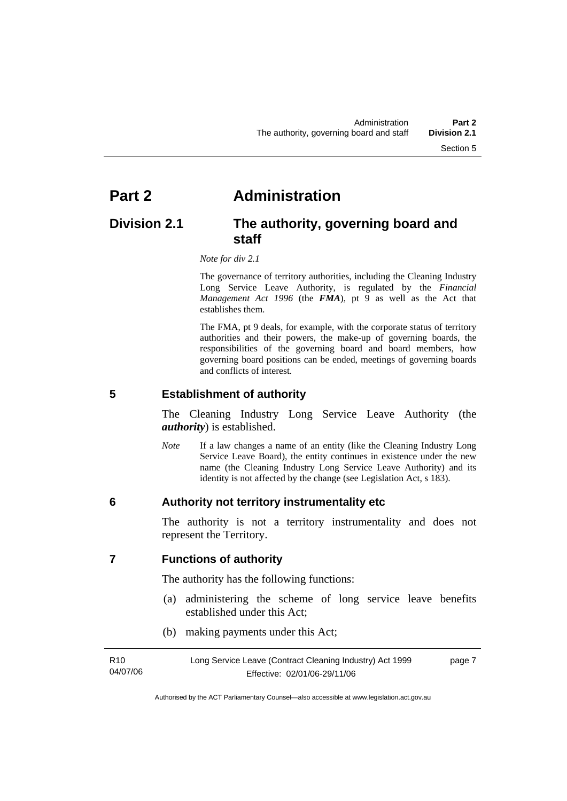## **Part 2 Administration**

## **Division 2.1 The authority, governing board and staff**

 *Note for div 2.1* 

The governance of territory authorities, including the Cleaning Industry Long Service Leave Authority, is regulated by the *Financial Management Act 1996* (the *FMA*), pt 9 as well as the Act that establishes them.

 The FMA, pt 9 deals, for example, with the corporate status of territory authorities and their powers, the make-up of governing boards, the responsibilities of the governing board and board members, how governing board positions can be ended, meetings of governing boards and conflicts of interest.

**5 Establishment of authority** 

The Cleaning Industry Long Service Leave Authority (the *authority*) is established.

*Note* If a law changes a name of an entity (like the Cleaning Industry Long Service Leave Board), the entity continues in existence under the new name (the Cleaning Industry Long Service Leave Authority) and its identity is not affected by the change (see Legislation Act, s 183).

### **6 Authority not territory instrumentality etc**

The authority is not a territory instrumentality and does not represent the Territory.

**7 Functions of authority** 

The authority has the following functions:

- (a) administering the scheme of long service leave benefits established under this Act;
- (b) making payments under this Act;

| R <sub>10</sub> | Long Service Leave (Contract Cleaning Industry) Act 1999 | page 7 |
|-----------------|----------------------------------------------------------|--------|
| 04/07/06        | Effective: 02/01/06-29/11/06                             |        |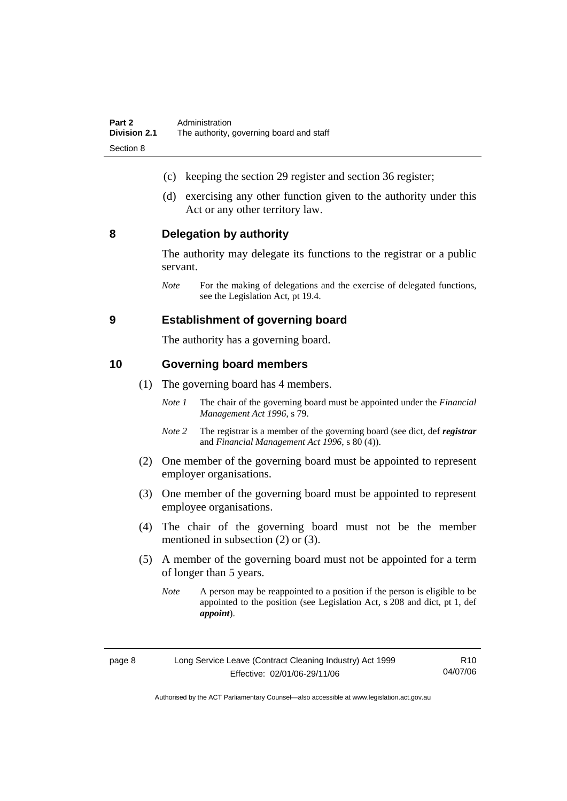- (c) keeping the section 29 register and section 36 register;
- (d) exercising any other function given to the authority under this Act or any other territory law.

### **8 Delegation by authority**

The authority may delegate its functions to the registrar or a public servant.

*Note* For the making of delegations and the exercise of delegated functions, see the Legislation Act, pt 19.4.

### **9 Establishment of governing board**

The authority has a governing board.

### **10 Governing board members**

- (1) The governing board has 4 members.
	- *Note 1* The chair of the governing board must be appointed under the *Financial Management Act 1996*, s 79.
	- *Note 2* The registrar is a member of the governing board (see dict, def *registrar* and *Financial Management Act 1996*, s 80 (4)).
- (2) One member of the governing board must be appointed to represent employer organisations.
- (3) One member of the governing board must be appointed to represent employee organisations.
- (4) The chair of the governing board must not be the member mentioned in subsection (2) or (3).
- (5) A member of the governing board must not be appointed for a term of longer than 5 years.
	- *Note* A person may be reappointed to a position if the person is eligible to be appointed to the position (see Legislation Act, s 208 and dict, pt 1, def *appoint*).

|--|

R10 04/07/06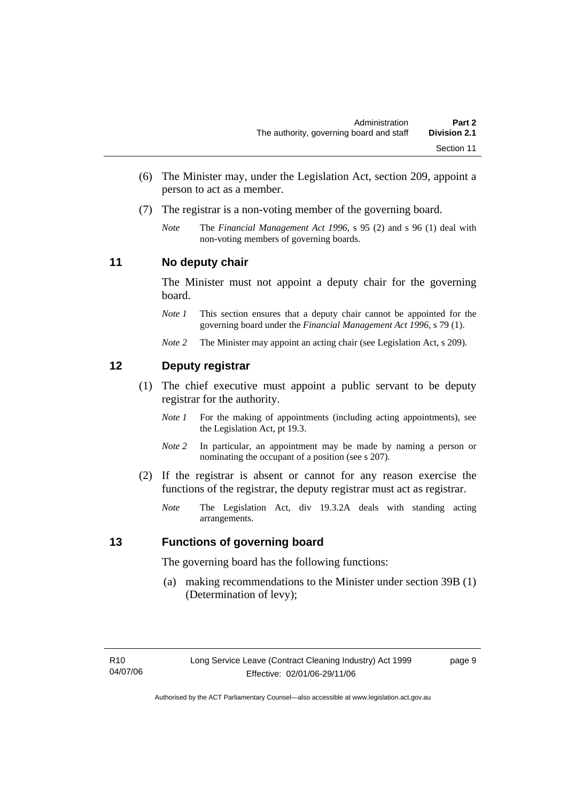- (6) The Minister may, under the Legislation Act, section 209, appoint a person to act as a member.
- (7) The registrar is a non-voting member of the governing board.
	- *Note* The *Financial Management Act 1996*, s 95 (2) and s 96 (1) deal with non-voting members of governing boards.

### **11 No deputy chair**

The Minister must not appoint a deputy chair for the governing board.

- *Note 1* This section ensures that a deputy chair cannot be appointed for the governing board under the *Financial Management Act 1996*, s 79 (1).
- *Note* 2 The Minister may appoint an acting chair (see Legislation Act, s 209).

## **12 Deputy registrar**

- (1) The chief executive must appoint a public servant to be deputy registrar for the authority.
	- *Note 1* For the making of appointments (including acting appointments), see the Legislation Act, pt 19.3.
	- *Note 2* In particular, an appointment may be made by naming a person or nominating the occupant of a position (see s 207).
- (2) If the registrar is absent or cannot for any reason exercise the functions of the registrar, the deputy registrar must act as registrar.
	- *Note* The Legislation Act, div 19.3.2A deals with standing acting arrangements.

### **13 Functions of governing board**

The governing board has the following functions:

 (a) making recommendations to the Minister under section 39B (1) (Determination of levy);

page 9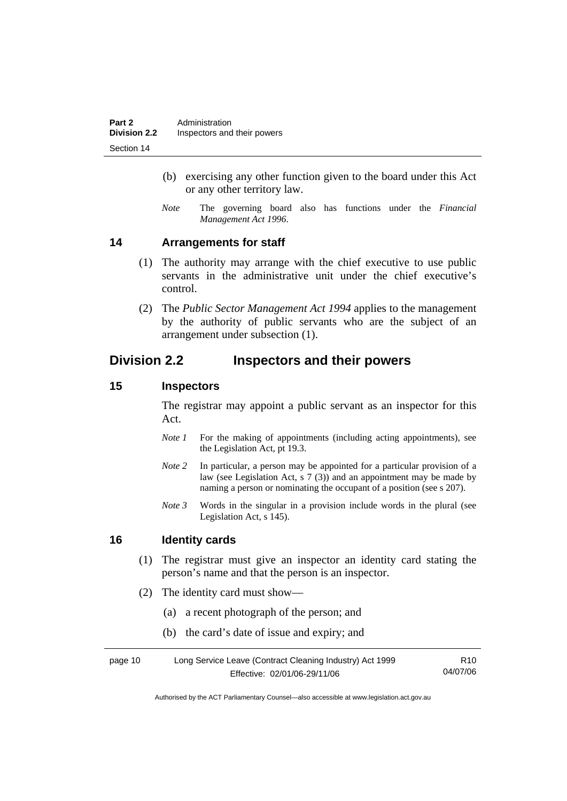- (b) exercising any other function given to the board under this Act or any other territory law.
- *Note* The governing board also has functions under the *Financial Management Act 1996*.

### **14 Arrangements for staff**

- (1) The authority may arrange with the chief executive to use public servants in the administrative unit under the chief executive's control.
- (2) The *Public Sector Management Act 1994* applies to the management by the authority of public servants who are the subject of an arrangement under subsection (1).

## **Division 2.2 Inspectors and their powers**

### **15 Inspectors**

The registrar may appoint a public servant as an inspector for this Act.

- *Note 1* For the making of appointments (including acting appointments), see the Legislation Act, pt 19.3.
- *Note 2* In particular, a person may be appointed for a particular provision of a law (see Legislation Act, s 7 (3)) and an appointment may be made by naming a person or nominating the occupant of a position (see s 207).
- *Note 3* Words in the singular in a provision include words in the plural (see Legislation Act, s 145).

### **16 Identity cards**

- (1) The registrar must give an inspector an identity card stating the person's name and that the person is an inspector.
- (2) The identity card must show—
	- (a) a recent photograph of the person; and
	- (b) the card's date of issue and expiry; and

| page 10 | Long Service Leave (Contract Cleaning Industry) Act 1999 | R10      |
|---------|----------------------------------------------------------|----------|
|         | Effective: 02/01/06-29/11/06                             | 04/07/06 |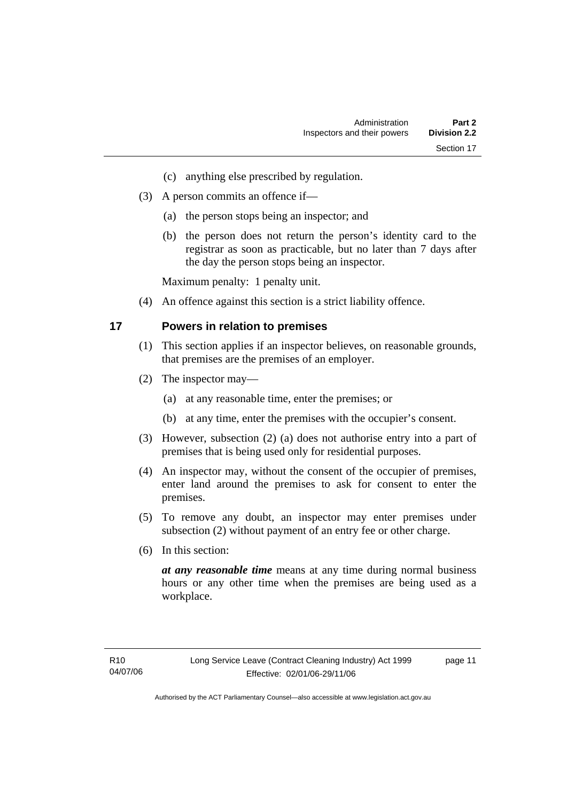- (c) anything else prescribed by regulation.
- (3) A person commits an offence if—
	- (a) the person stops being an inspector; and
	- (b) the person does not return the person's identity card to the registrar as soon as practicable, but no later than 7 days after the day the person stops being an inspector.

Maximum penalty: 1 penalty unit.

(4) An offence against this section is a strict liability offence.

### **17 Powers in relation to premises**

- (1) This section applies if an inspector believes, on reasonable grounds, that premises are the premises of an employer.
- (2) The inspector may—
	- (a) at any reasonable time, enter the premises; or
	- (b) at any time, enter the premises with the occupier's consent.
- (3) However, subsection (2) (a) does not authorise entry into a part of premises that is being used only for residential purposes.
- (4) An inspector may, without the consent of the occupier of premises, enter land around the premises to ask for consent to enter the premises.
- (5) To remove any doubt, an inspector may enter premises under subsection (2) without payment of an entry fee or other charge.
- (6) In this section:

*at any reasonable time* means at any time during normal business hours or any other time when the premises are being used as a workplace.

page 11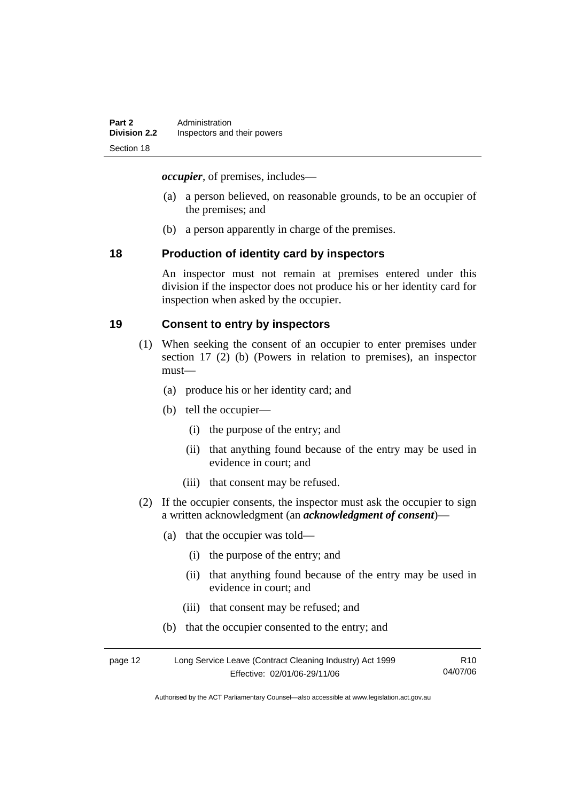*occupier*, of premises, includes—

- (a) a person believed, on reasonable grounds, to be an occupier of the premises; and
- (b) a person apparently in charge of the premises.

### **18 Production of identity card by inspectors**

An inspector must not remain at premises entered under this division if the inspector does not produce his or her identity card for inspection when asked by the occupier.

### **19 Consent to entry by inspectors**

- (1) When seeking the consent of an occupier to enter premises under section 17 (2) (b) (Powers in relation to premises), an inspector must—
	- (a) produce his or her identity card; and
	- (b) tell the occupier—
		- (i) the purpose of the entry; and
		- (ii) that anything found because of the entry may be used in evidence in court; and
		- (iii) that consent may be refused.
- (2) If the occupier consents, the inspector must ask the occupier to sign a written acknowledgment (an *acknowledgment of consent*)—
	- (a) that the occupier was told—
		- (i) the purpose of the entry; and
		- (ii) that anything found because of the entry may be used in evidence in court; and
		- (iii) that consent may be refused; and
	- (b) that the occupier consented to the entry; and

| page 12 | Long Service Leave (Contract Cleaning Industry) Act 1999 | R <sub>10</sub> |
|---------|----------------------------------------------------------|-----------------|
|         | Effective: 02/01/06-29/11/06                             | 04/07/06        |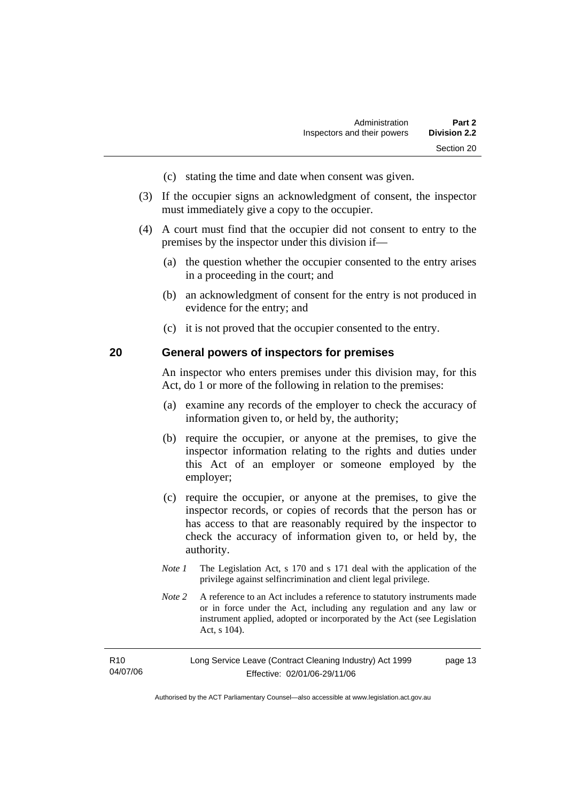- (c) stating the time and date when consent was given.
- (3) If the occupier signs an acknowledgment of consent, the inspector must immediately give a copy to the occupier.
- (4) A court must find that the occupier did not consent to entry to the premises by the inspector under this division if—
	- (a) the question whether the occupier consented to the entry arises in a proceeding in the court; and
	- (b) an acknowledgment of consent for the entry is not produced in evidence for the entry; and
	- (c) it is not proved that the occupier consented to the entry.

### **20 General powers of inspectors for premises**

An inspector who enters premises under this division may, for this Act, do 1 or more of the following in relation to the premises:

- (a) examine any records of the employer to check the accuracy of information given to, or held by, the authority;
- (b) require the occupier, or anyone at the premises, to give the inspector information relating to the rights and duties under this Act of an employer or someone employed by the employer;
- (c) require the occupier, or anyone at the premises, to give the inspector records, or copies of records that the person has or has access to that are reasonably required by the inspector to check the accuracy of information given to, or held by, the authority.
- *Note 1* The Legislation Act, s 170 and s 171 deal with the application of the privilege against selfincrimination and client legal privilege.
- *Note 2* A reference to an Act includes a reference to statutory instruments made or in force under the Act, including any regulation and any law or instrument applied, adopted or incorporated by the Act (see Legislation Act, s 104).

| R10      | Long Service Leave (Contract Cleaning Industry) Act 1999 | page 13 |
|----------|----------------------------------------------------------|---------|
| 04/07/06 | Effective: 02/01/06-29/11/06                             |         |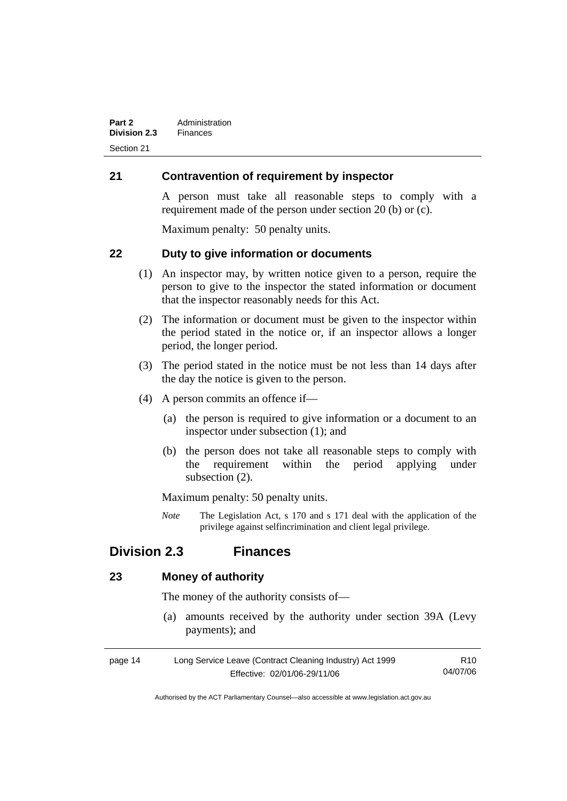## **21 Contravention of requirement by inspector**

A person must take all reasonable steps to comply with a requirement made of the person under section 20 (b) or (c).

Maximum penalty: 50 penalty units.

### **22 Duty to give information or documents**

- (1) An inspector may, by written notice given to a person, require the person to give to the inspector the stated information or document that the inspector reasonably needs for this Act.
- (2) The information or document must be given to the inspector within the period stated in the notice or, if an inspector allows a longer period, the longer period.
- (3) The period stated in the notice must be not less than 14 days after the day the notice is given to the person.
- (4) A person commits an offence if—
	- (a) the person is required to give information or a document to an inspector under subsection (1); and
	- (b) the person does not take all reasonable steps to comply with the requirement within the period applying under subsection (2).

Maximum penalty: 50 penalty units.

*Note* The Legislation Act, s 170 and s 171 deal with the application of the privilege against selfincrimination and client legal privilege.

## **Division 2.3 Finances**

### **23 Money of authority**

The money of the authority consists of—

 (a) amounts received by the authority under section 39A (Levy payments); and

| page 14 | Long Service Leave (Contract Cleaning Industry) Act 1999 | R <sub>10</sub> |
|---------|----------------------------------------------------------|-----------------|
|         | Effective: 02/01/06-29/11/06                             | 04/07/06        |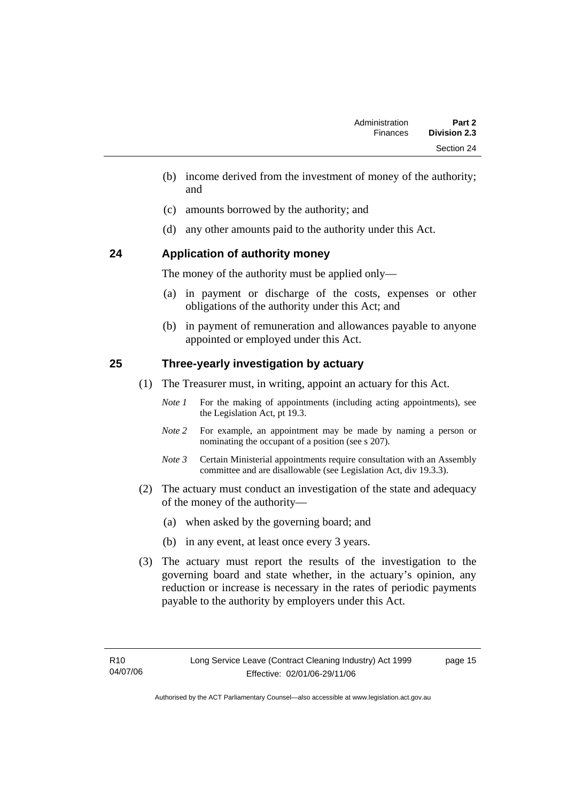- (b) income derived from the investment of money of the authority; and
- (c) amounts borrowed by the authority; and
- (d) any other amounts paid to the authority under this Act.

## **24 Application of authority money**

The money of the authority must be applied only—

- (a) in payment or discharge of the costs, expenses or other obligations of the authority under this Act; and
- (b) in payment of remuneration and allowances payable to anyone appointed or employed under this Act.

## **25 Three-yearly investigation by actuary**

- (1) The Treasurer must, in writing, appoint an actuary for this Act.
	- *Note 1* For the making of appointments (including acting appointments), see the Legislation Act, pt 19.3.
	- *Note 2* For example, an appointment may be made by naming a person or nominating the occupant of a position (see s 207).
	- *Note 3* Certain Ministerial appointments require consultation with an Assembly committee and are disallowable (see Legislation Act, div 19.3.3).
- (2) The actuary must conduct an investigation of the state and adequacy of the money of the authority—
	- (a) when asked by the governing board; and
	- (b) in any event, at least once every 3 years.
- (3) The actuary must report the results of the investigation to the governing board and state whether, in the actuary's opinion, any reduction or increase is necessary in the rates of periodic payments payable to the authority by employers under this Act.

page 15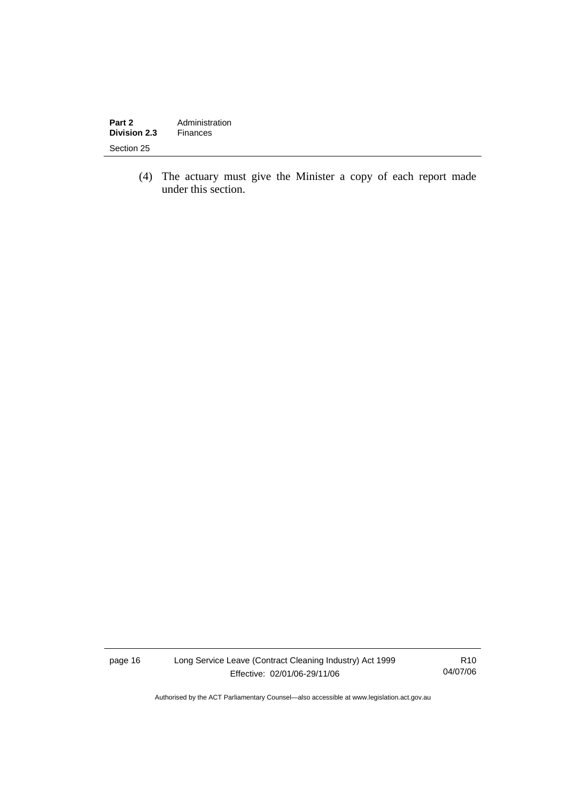| Part 2              | Administration |
|---------------------|----------------|
| <b>Division 2.3</b> | Finances       |
| Section 25          |                |

 (4) The actuary must give the Minister a copy of each report made under this section.

page 16 Long Service Leave (Contract Cleaning Industry) Act 1999 Effective: 02/01/06-29/11/06

R10 04/07/06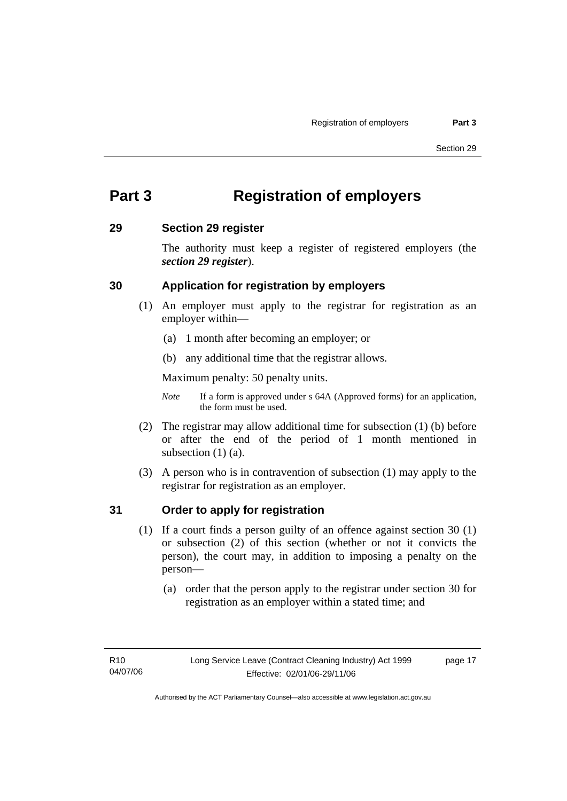## **Part 3 Registration of employers**

### **29 Section 29 register**

The authority must keep a register of registered employers (the *section 29 register*).

## **30 Application for registration by employers**

- (1) An employer must apply to the registrar for registration as an employer within—
	- (a) 1 month after becoming an employer; or
	- (b) any additional time that the registrar allows.

Maximum penalty: 50 penalty units.

- *Note* If a form is approved under s 64A (Approved forms) for an application, the form must be used.
- (2) The registrar may allow additional time for subsection (1) (b) before or after the end of the period of 1 month mentioned in subsection (1) (a).
- (3) A person who is in contravention of subsection (1) may apply to the registrar for registration as an employer.

## **31 Order to apply for registration**

- (1) If a court finds a person guilty of an offence against section 30 (1) or subsection (2) of this section (whether or not it convicts the person), the court may, in addition to imposing a penalty on the person—
	- (a) order that the person apply to the registrar under section 30 for registration as an employer within a stated time; and

page 17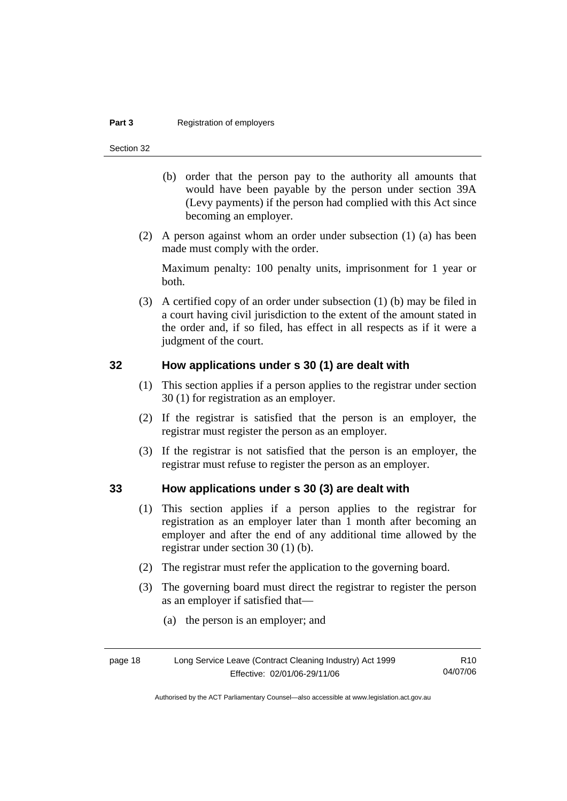### **Part 3 Registration of employers**

Section 32

- (b) order that the person pay to the authority all amounts that would have been payable by the person under section 39A (Levy payments) if the person had complied with this Act since becoming an employer.
- (2) A person against whom an order under subsection (1) (a) has been made must comply with the order.

Maximum penalty: 100 penalty units, imprisonment for 1 year or both.

 (3) A certified copy of an order under subsection (1) (b) may be filed in a court having civil jurisdiction to the extent of the amount stated in the order and, if so filed, has effect in all respects as if it were a judgment of the court.

### **32 How applications under s 30 (1) are dealt with**

- (1) This section applies if a person applies to the registrar under section 30 (1) for registration as an employer.
- (2) If the registrar is satisfied that the person is an employer, the registrar must register the person as an employer.
- (3) If the registrar is not satisfied that the person is an employer, the registrar must refuse to register the person as an employer.

### **33 How applications under s 30 (3) are dealt with**

- (1) This section applies if a person applies to the registrar for registration as an employer later than 1 month after becoming an employer and after the end of any additional time allowed by the registrar under section 30 (1) (b).
- (2) The registrar must refer the application to the governing board.
- (3) The governing board must direct the registrar to register the person as an employer if satisfied that—
	- (a) the person is an employer; and

| page 18 | Long Service Leave (Contract Cleaning Industry) Act 1999 | R <sub>10</sub> |
|---------|----------------------------------------------------------|-----------------|
|         | Effective: 02/01/06-29/11/06                             | 04/07/06        |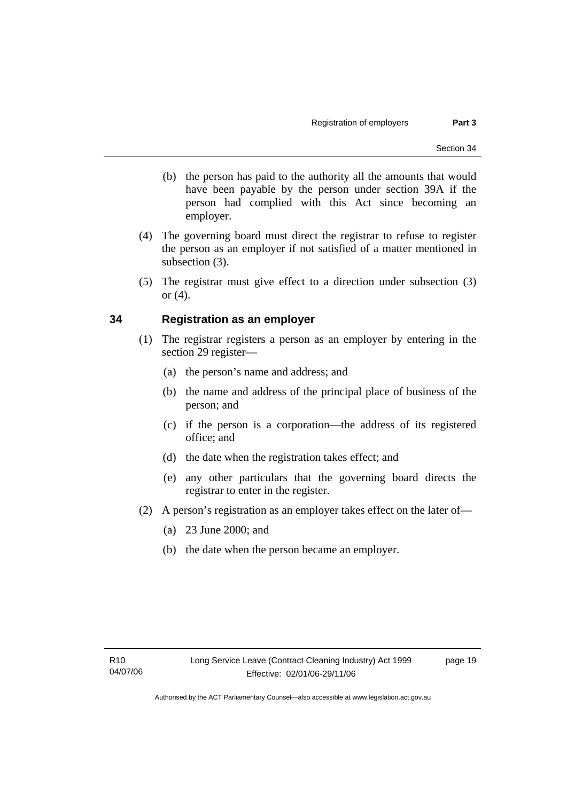- (b) the person has paid to the authority all the amounts that would have been payable by the person under section 39A if the person had complied with this Act since becoming an employer.
- (4) The governing board must direct the registrar to refuse to register the person as an employer if not satisfied of a matter mentioned in subsection (3).
- (5) The registrar must give effect to a direction under subsection (3) or  $(4)$ .

### **34 Registration as an employer**

- (1) The registrar registers a person as an employer by entering in the section 29 register—
	- (a) the person's name and address; and
	- (b) the name and address of the principal place of business of the person; and
	- (c) if the person is a corporation—the address of its registered office; and
	- (d) the date when the registration takes effect; and
	- (e) any other particulars that the governing board directs the registrar to enter in the register.
- (2) A person's registration as an employer takes effect on the later of—
	- (a) 23 June 2000; and
	- (b) the date when the person became an employer.

page 19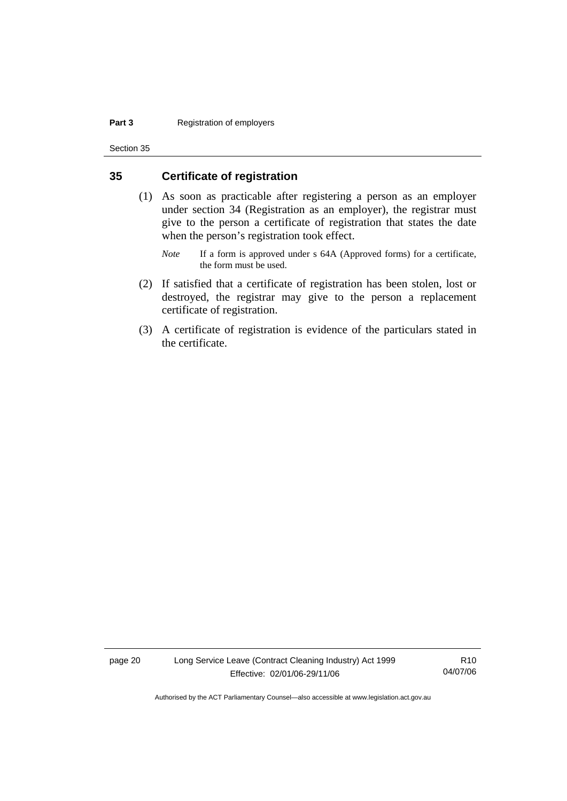### **Part 3 Registration of employers**

Section 35

### **35 Certificate of registration**

- (1) As soon as practicable after registering a person as an employer under section 34 (Registration as an employer), the registrar must give to the person a certificate of registration that states the date when the person's registration took effect.
	- *Note* If a form is approved under s 64A (Approved forms) for a certificate, the form must be used.
- (2) If satisfied that a certificate of registration has been stolen, lost or destroyed, the registrar may give to the person a replacement certificate of registration.
- (3) A certificate of registration is evidence of the particulars stated in the certificate.

page 20 Long Service Leave (Contract Cleaning Industry) Act 1999 Effective: 02/01/06-29/11/06

R10 04/07/06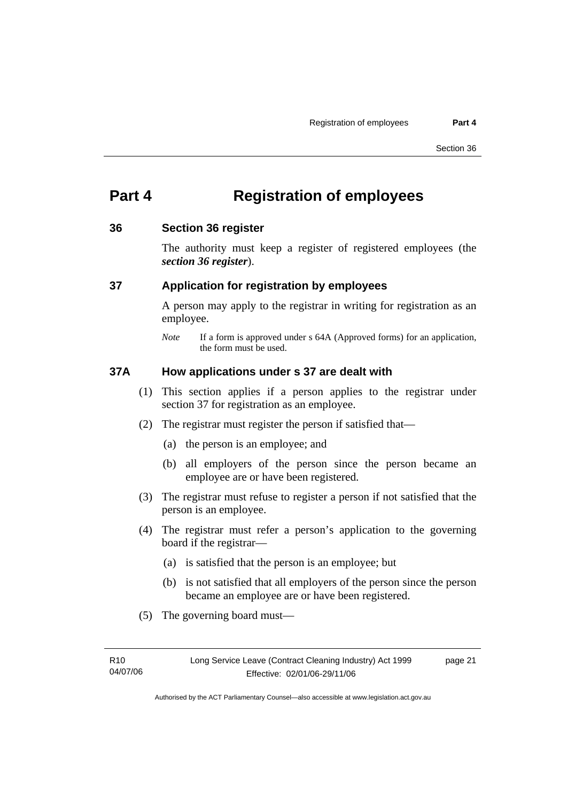## **Part 4 Registration of employees**

### **36 Section 36 register**

The authority must keep a register of registered employees (the *section 36 register*).

### **37 Application for registration by employees**

A person may apply to the registrar in writing for registration as an employee.

### **37A How applications under s 37 are dealt with**

- (1) This section applies if a person applies to the registrar under section 37 for registration as an employee.
- (2) The registrar must register the person if satisfied that—
	- (a) the person is an employee; and
	- (b) all employers of the person since the person became an employee are or have been registered.
- (3) The registrar must refuse to register a person if not satisfied that the person is an employee.
- (4) The registrar must refer a person's application to the governing board if the registrar—
	- (a) is satisfied that the person is an employee; but
	- (b) is not satisfied that all employers of the person since the person became an employee are or have been registered.
- (5) The governing board must—

page 21

*Note* If a form is approved under s 64A (Approved forms) for an application, the form must be used.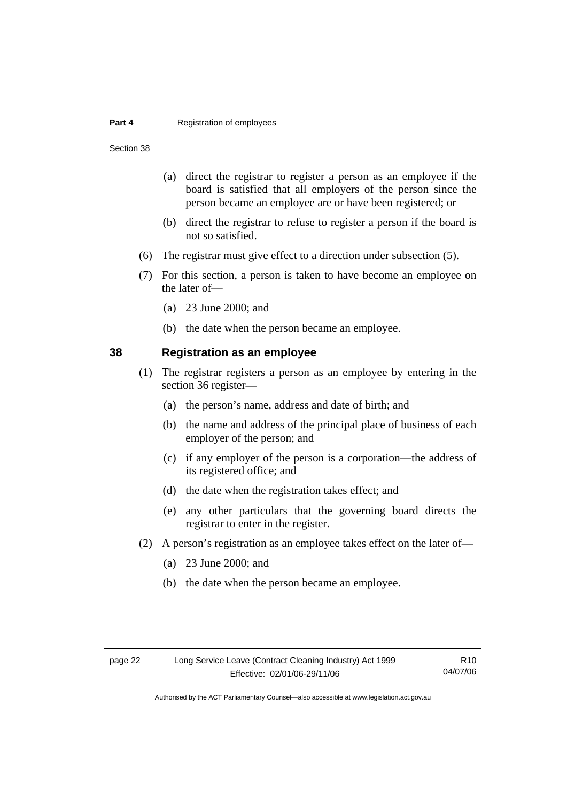#### **Part 4 Registration of employees**

Section 38

- (a) direct the registrar to register a person as an employee if the board is satisfied that all employers of the person since the person became an employee are or have been registered; or
- (b) direct the registrar to refuse to register a person if the board is not so satisfied.
- (6) The registrar must give effect to a direction under subsection (5).
- (7) For this section, a person is taken to have become an employee on the later of—
	- (a) 23 June 2000; and
	- (b) the date when the person became an employee.

### **38 Registration as an employee**

- (1) The registrar registers a person as an employee by entering in the section 36 register—
	- (a) the person's name, address and date of birth; and
	- (b) the name and address of the principal place of business of each employer of the person; and
	- (c) if any employer of the person is a corporation—the address of its registered office; and
	- (d) the date when the registration takes effect; and
	- (e) any other particulars that the governing board directs the registrar to enter in the register.
- (2) A person's registration as an employee takes effect on the later of—
	- (a) 23 June 2000; and
	- (b) the date when the person became an employee.

R10 04/07/06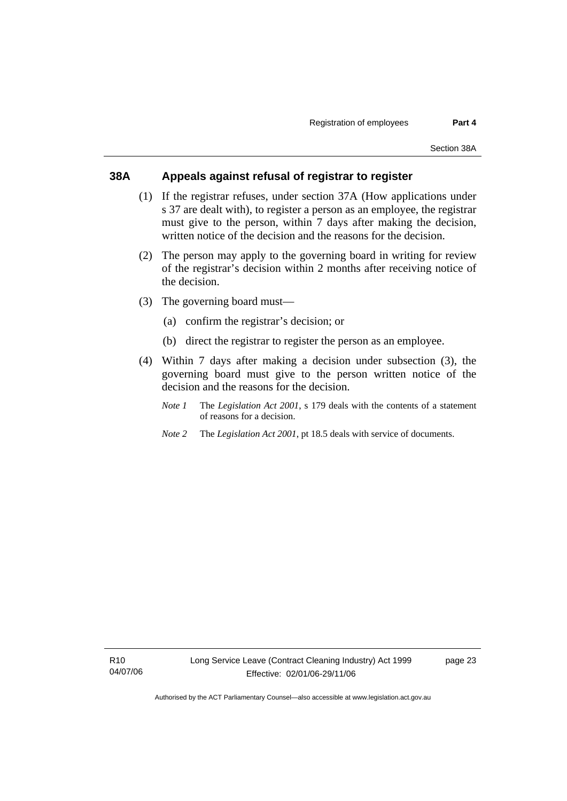### **38A Appeals against refusal of registrar to register**

- (1) If the registrar refuses, under section 37A (How applications under s 37 are dealt with), to register a person as an employee, the registrar must give to the person, within 7 days after making the decision, written notice of the decision and the reasons for the decision.
- (2) The person may apply to the governing board in writing for review of the registrar's decision within 2 months after receiving notice of the decision.
- (3) The governing board must—
	- (a) confirm the registrar's decision; or
	- (b) direct the registrar to register the person as an employee.
- (4) Within 7 days after making a decision under subsection (3), the governing board must give to the person written notice of the decision and the reasons for the decision.
	- *Note 1* The *Legislation Act 2001*, s 179 deals with the contents of a statement of reasons for a decision.
	- *Note 2* The *Legislation Act 2001*, pt 18.5 deals with service of documents.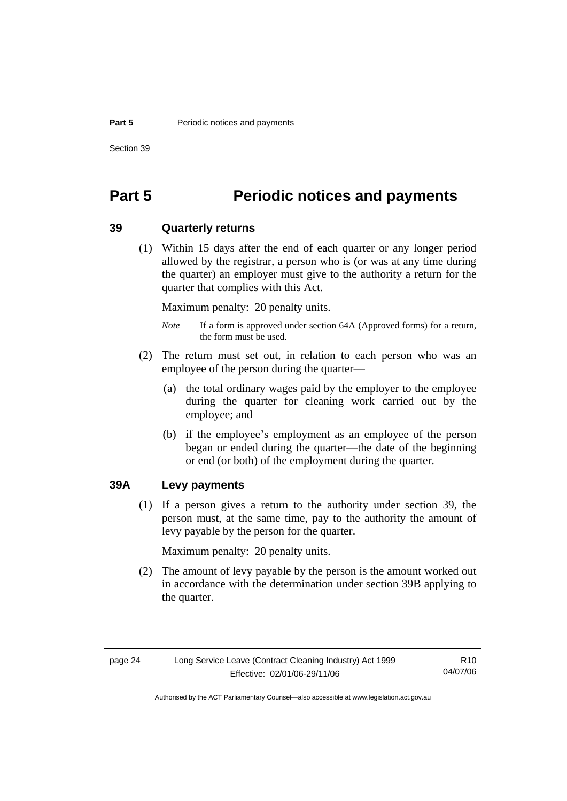### **Part 5** Periodic notices and payments

Section 39

## **Part 5 Periodic notices and payments**

### **39 Quarterly returns**

 (1) Within 15 days after the end of each quarter or any longer period allowed by the registrar, a person who is (or was at any time during the quarter) an employer must give to the authority a return for the quarter that complies with this Act.

Maximum penalty: 20 penalty units.

- *Note* If a form is approved under section 64A (Approved forms) for a return, the form must be used.
- (2) The return must set out, in relation to each person who was an employee of the person during the quarter—
	- (a) the total ordinary wages paid by the employer to the employee during the quarter for cleaning work carried out by the employee; and
	- (b) if the employee's employment as an employee of the person began or ended during the quarter—the date of the beginning or end (or both) of the employment during the quarter.

## **39A Levy payments**

 (1) If a person gives a return to the authority under section 39, the person must, at the same time, pay to the authority the amount of levy payable by the person for the quarter.

Maximum penalty: 20 penalty units.

 (2) The amount of levy payable by the person is the amount worked out in accordance with the determination under section 39B applying to the quarter.

R10 04/07/06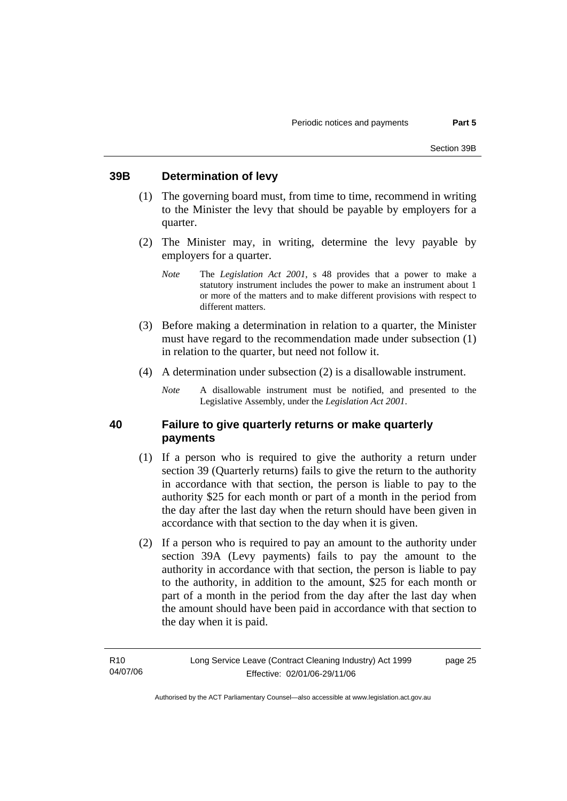### **39B Determination of levy**

- (1) The governing board must, from time to time, recommend in writing to the Minister the levy that should be payable by employers for a quarter.
- (2) The Minister may, in writing, determine the levy payable by employers for a quarter.
	- *Note* The *Legislation Act 2001*, s 48 provides that a power to make a statutory instrument includes the power to make an instrument about 1 or more of the matters and to make different provisions with respect to different matters.
- (3) Before making a determination in relation to a quarter, the Minister must have regard to the recommendation made under subsection (1) in relation to the quarter, but need not follow it.
- (4) A determination under subsection (2) is a disallowable instrument.
	- *Note* A disallowable instrument must be notified, and presented to the Legislative Assembly, under the *Legislation Act 2001*.

### **40 Failure to give quarterly returns or make quarterly payments**

- (1) If a person who is required to give the authority a return under section 39 (Quarterly returns) fails to give the return to the authority in accordance with that section, the person is liable to pay to the authority \$25 for each month or part of a month in the period from the day after the last day when the return should have been given in accordance with that section to the day when it is given.
- (2) If a person who is required to pay an amount to the authority under section 39A (Levy payments) fails to pay the amount to the authority in accordance with that section, the person is liable to pay to the authority, in addition to the amount, \$25 for each month or part of a month in the period from the day after the last day when the amount should have been paid in accordance with that section to the day when it is paid.

page 25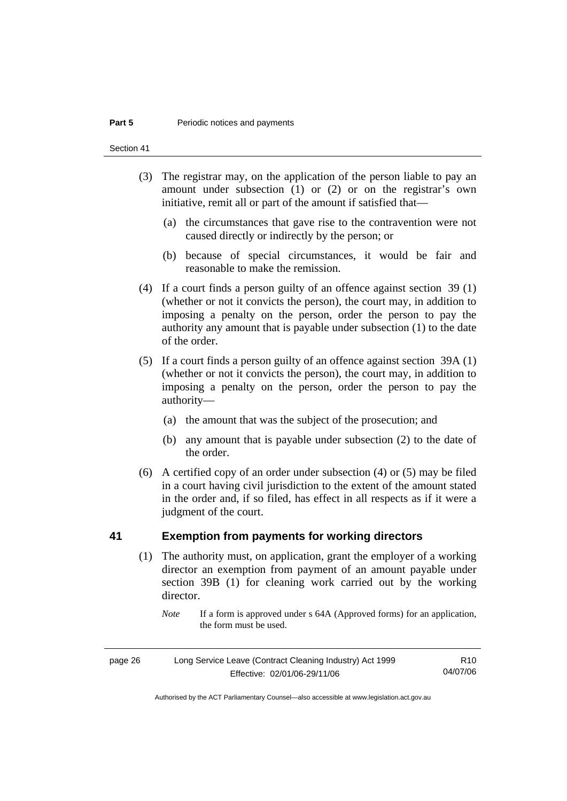### **Part 5 Periodic notices and payments**

Section 41

- (3) The registrar may, on the application of the person liable to pay an amount under subsection (1) or (2) or on the registrar's own initiative, remit all or part of the amount if satisfied that—
	- (a) the circumstances that gave rise to the contravention were not caused directly or indirectly by the person; or
	- (b) because of special circumstances, it would be fair and reasonable to make the remission.
- (4) If a court finds a person guilty of an offence against section 39 (1) (whether or not it convicts the person), the court may, in addition to imposing a penalty on the person, order the person to pay the authority any amount that is payable under subsection (1) to the date of the order.
- (5) If a court finds a person guilty of an offence against section 39A (1) (whether or not it convicts the person), the court may, in addition to imposing a penalty on the person, order the person to pay the authority—
	- (a) the amount that was the subject of the prosecution; and
	- (b) any amount that is payable under subsection (2) to the date of the order.
- (6) A certified copy of an order under subsection (4) or (5) may be filed in a court having civil jurisdiction to the extent of the amount stated in the order and, if so filed, has effect in all respects as if it were a judgment of the court.

## **41 Exemption from payments for working directors**

- (1) The authority must, on application, grant the employer of a working director an exemption from payment of an amount payable under section 39B (1) for cleaning work carried out by the working director.
	- *Note* If a form is approved under s 64A (Approved forms) for an application, the form must be used.

| page 26 | Long Service Leave (Contract Cleaning Industry) Act 1999 | R <sub>10</sub> |
|---------|----------------------------------------------------------|-----------------|
|         | Effective: 02/01/06-29/11/06                             | 04/07/06        |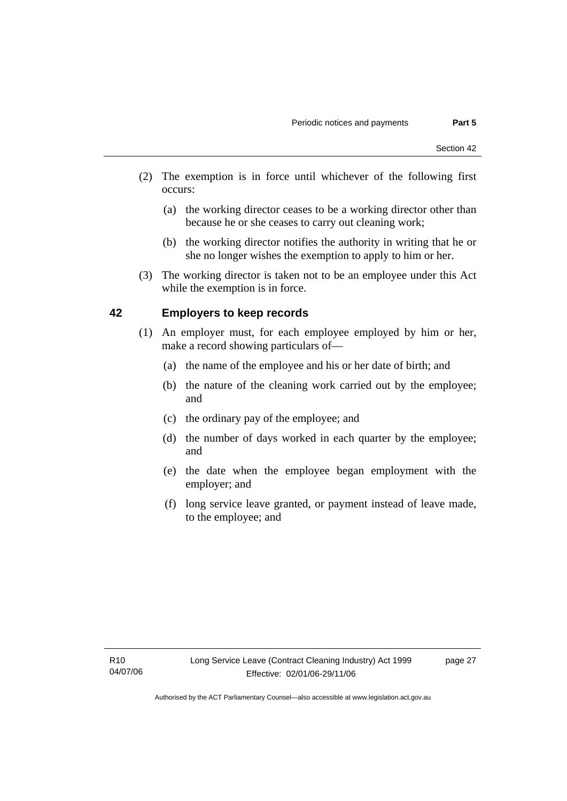- (2) The exemption is in force until whichever of the following first occurs:
	- (a) the working director ceases to be a working director other than because he or she ceases to carry out cleaning work;
	- (b) the working director notifies the authority in writing that he or she no longer wishes the exemption to apply to him or her.
- (3) The working director is taken not to be an employee under this Act while the exemption is in force.

## **42 Employers to keep records**

- (1) An employer must, for each employee employed by him or her, make a record showing particulars of—
	- (a) the name of the employee and his or her date of birth; and
	- (b) the nature of the cleaning work carried out by the employee; and
	- (c) the ordinary pay of the employee; and
	- (d) the number of days worked in each quarter by the employee; and
	- (e) the date when the employee began employment with the employer; and
	- (f) long service leave granted, or payment instead of leave made, to the employee; and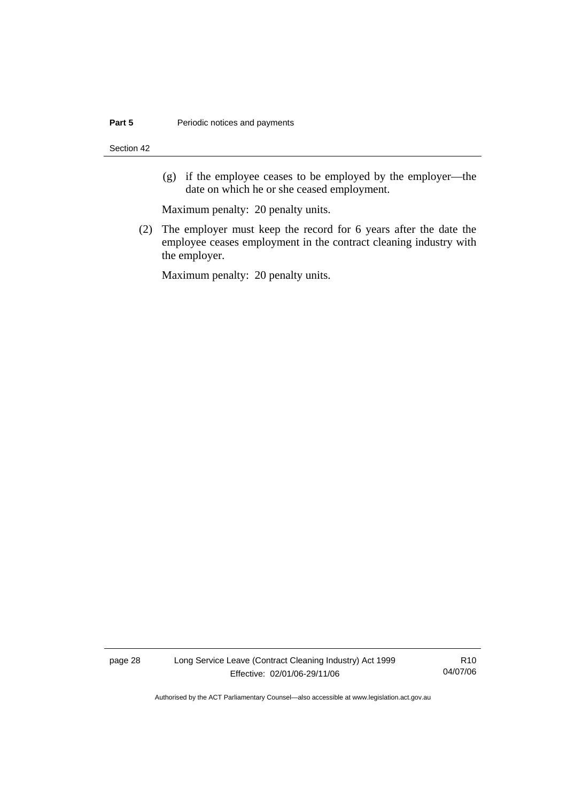Section 42

 (g) if the employee ceases to be employed by the employer—the date on which he or she ceased employment.

Maximum penalty: 20 penalty units.

 (2) The employer must keep the record for 6 years after the date the employee ceases employment in the contract cleaning industry with the employer.

Maximum penalty: 20 penalty units.

page 28 Long Service Leave (Contract Cleaning Industry) Act 1999 Effective: 02/01/06-29/11/06

R10 04/07/06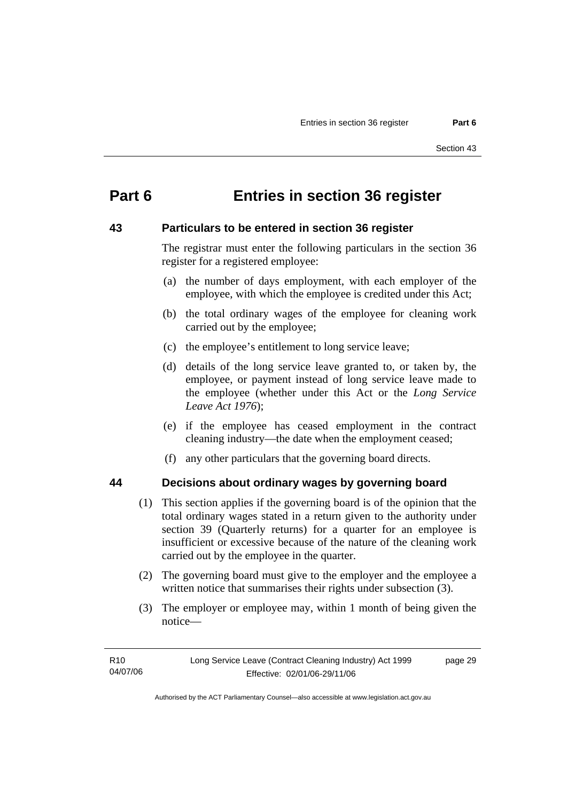## **Part 6 Entries in section 36 register**

### **43 Particulars to be entered in section 36 register**

The registrar must enter the following particulars in the section 36 register for a registered employee:

- (a) the number of days employment, with each employer of the employee, with which the employee is credited under this Act;
- (b) the total ordinary wages of the employee for cleaning work carried out by the employee;
- (c) the employee's entitlement to long service leave;
- (d) details of the long service leave granted to, or taken by, the employee, or payment instead of long service leave made to the employee (whether under this Act or the *Long Service Leave Act 1976*);
- (e) if the employee has ceased employment in the contract cleaning industry—the date when the employment ceased;
- (f) any other particulars that the governing board directs.

### **44 Decisions about ordinary wages by governing board**

- (1) This section applies if the governing board is of the opinion that the total ordinary wages stated in a return given to the authority under section 39 (Quarterly returns) for a quarter for an employee is insufficient or excessive because of the nature of the cleaning work carried out by the employee in the quarter.
- (2) The governing board must give to the employer and the employee a written notice that summarises their rights under subsection (3).
- (3) The employer or employee may, within 1 month of being given the notice—

page 29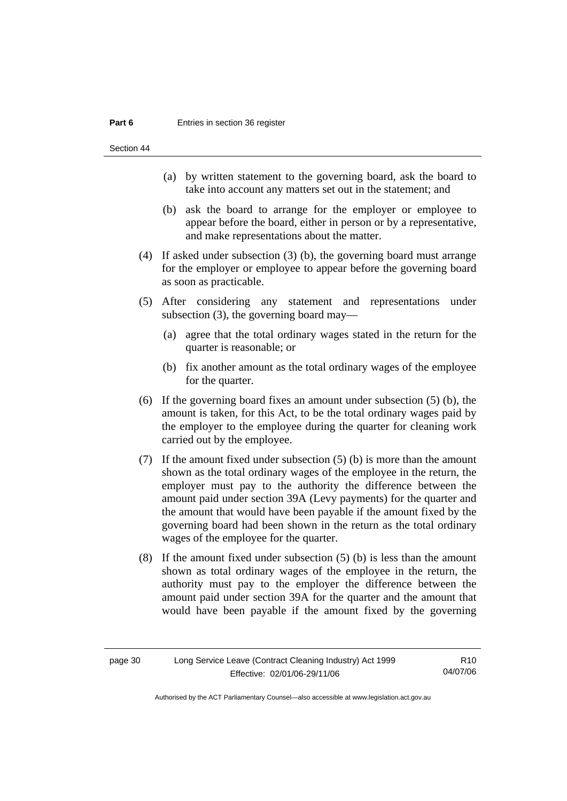#### **Part 6 Entries in section 36 register**

Section 44

- (a) by written statement to the governing board, ask the board to take into account any matters set out in the statement; and
- (b) ask the board to arrange for the employer or employee to appear before the board, either in person or by a representative, and make representations about the matter.
- (4) If asked under subsection (3) (b), the governing board must arrange for the employer or employee to appear before the governing board as soon as practicable.
- (5) After considering any statement and representations under subsection (3), the governing board may—
	- (a) agree that the total ordinary wages stated in the return for the quarter is reasonable; or
	- (b) fix another amount as the total ordinary wages of the employee for the quarter.
- (6) If the governing board fixes an amount under subsection (5) (b), the amount is taken, for this Act, to be the total ordinary wages paid by the employer to the employee during the quarter for cleaning work carried out by the employee.
- (7) If the amount fixed under subsection (5) (b) is more than the amount shown as the total ordinary wages of the employee in the return, the employer must pay to the authority the difference between the amount paid under section 39A (Levy payments) for the quarter and the amount that would have been payable if the amount fixed by the governing board had been shown in the return as the total ordinary wages of the employee for the quarter.
- (8) If the amount fixed under subsection (5) (b) is less than the amount shown as total ordinary wages of the employee in the return, the authority must pay to the employer the difference between the amount paid under section 39A for the quarter and the amount that would have been payable if the amount fixed by the governing

| page 30 | Long Service Leave (Contract Cleaning Industry) Act 1999 | R <sub>10</sub> |
|---------|----------------------------------------------------------|-----------------|
|         | Effective: 02/01/06-29/11/06                             | 04/07/06        |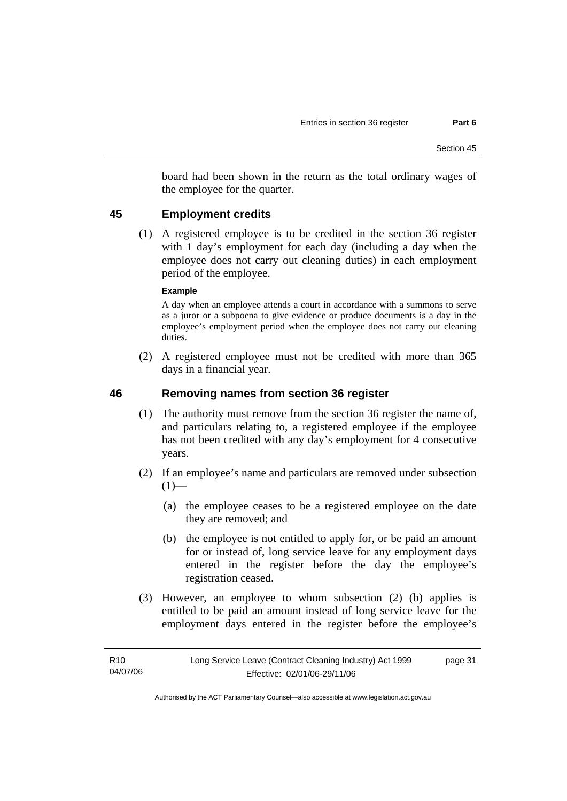board had been shown in the return as the total ordinary wages of the employee for the quarter.

## **45 Employment credits**

 (1) A registered employee is to be credited in the section 36 register with 1 day's employment for each day (including a day when the employee does not carry out cleaning duties) in each employment period of the employee.

### **Example**

A day when an employee attends a court in accordance with a summons to serve as a juror or a subpoena to give evidence or produce documents is a day in the employee's employment period when the employee does not carry out cleaning duties.

 (2) A registered employee must not be credited with more than 365 days in a financial year.

### **46 Removing names from section 36 register**

- (1) The authority must remove from the section 36 register the name of, and particulars relating to, a registered employee if the employee has not been credited with any day's employment for 4 consecutive years.
- (2) If an employee's name and particulars are removed under subsection  $(1)$ —
	- (a) the employee ceases to be a registered employee on the date they are removed; and
	- (b) the employee is not entitled to apply for, or be paid an amount for or instead of, long service leave for any employment days entered in the register before the day the employee's registration ceased.
- (3) However, an employee to whom subsection (2) (b) applies is entitled to be paid an amount instead of long service leave for the employment days entered in the register before the employee's

page 31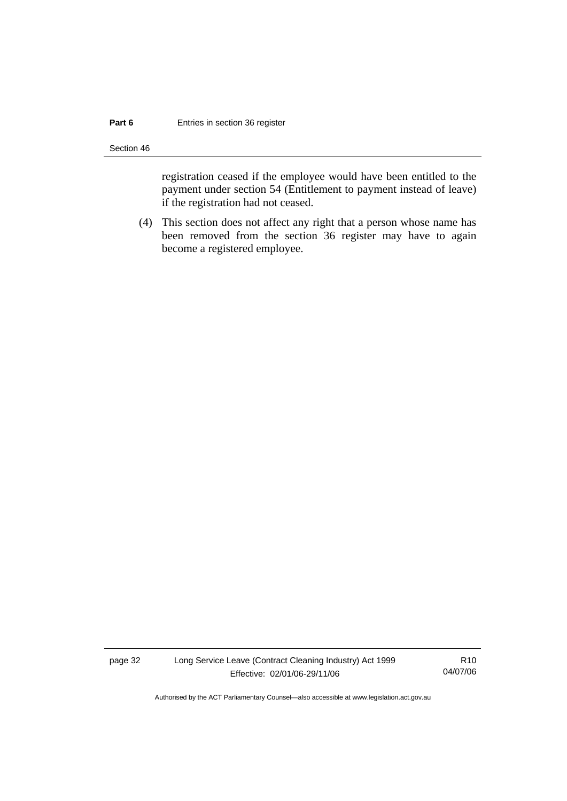### **Part 6 Entries in section 36 register**

Section 46

registration ceased if the employee would have been entitled to the payment under section 54 (Entitlement to payment instead of leave) if the registration had not ceased.

 (4) This section does not affect any right that a person whose name has been removed from the section 36 register may have to again become a registered employee.

page 32 Long Service Leave (Contract Cleaning Industry) Act 1999 Effective: 02/01/06-29/11/06

R10 04/07/06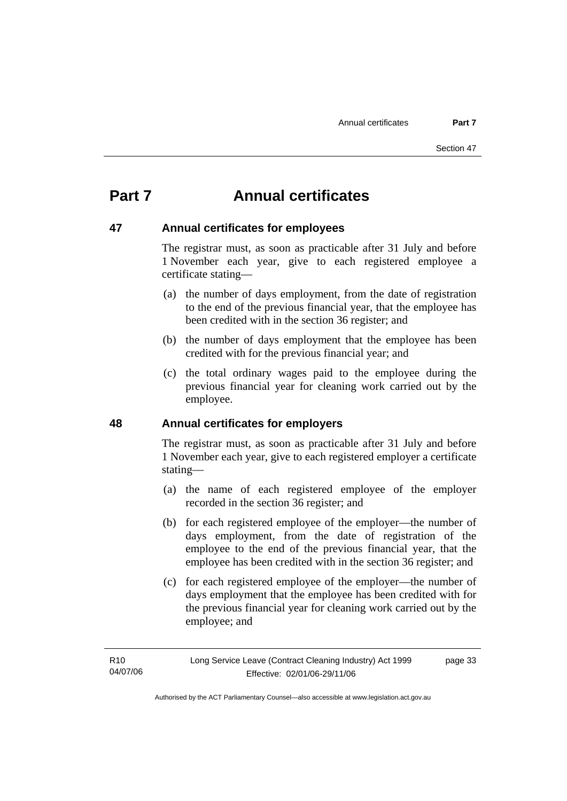## **Part 7 Annual certificates**

### **47 Annual certificates for employees**

The registrar must, as soon as practicable after 31 July and before 1 November each year, give to each registered employee a certificate stating—

- (a) the number of days employment, from the date of registration to the end of the previous financial year, that the employee has been credited with in the section 36 register; and
- (b) the number of days employment that the employee has been credited with for the previous financial year; and
- (c) the total ordinary wages paid to the employee during the previous financial year for cleaning work carried out by the employee.

## **48 Annual certificates for employers**

The registrar must, as soon as practicable after 31 July and before 1 November each year, give to each registered employer a certificate stating—

- (a) the name of each registered employee of the employer recorded in the section 36 register; and
- (b) for each registered employee of the employer—the number of days employment, from the date of registration of the employee to the end of the previous financial year, that the employee has been credited with in the section 36 register; and
- (c) for each registered employee of the employer—the number of days employment that the employee has been credited with for the previous financial year for cleaning work carried out by the employee; and

page 33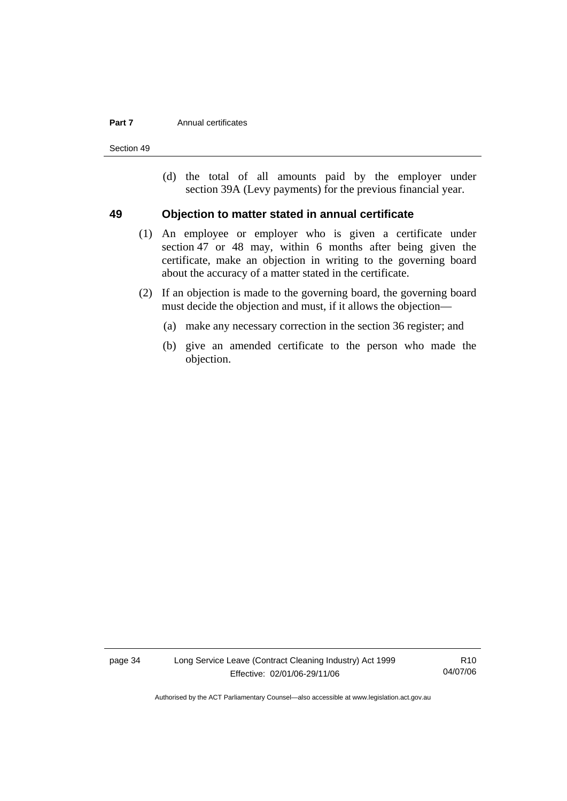#### **Part 7 Annual certificates**

Section 49

 (d) the total of all amounts paid by the employer under section 39A (Levy payments) for the previous financial year.

### **49 Objection to matter stated in annual certificate**

- (1) An employee or employer who is given a certificate under section 47 or 48 may, within 6 months after being given the certificate, make an objection in writing to the governing board about the accuracy of a matter stated in the certificate.
- (2) If an objection is made to the governing board, the governing board must decide the objection and must, if it allows the objection—
	- (a) make any necessary correction in the section 36 register; and
	- (b) give an amended certificate to the person who made the objection.

page 34 Long Service Leave (Contract Cleaning Industry) Act 1999 Effective: 02/01/06-29/11/06

R10 04/07/06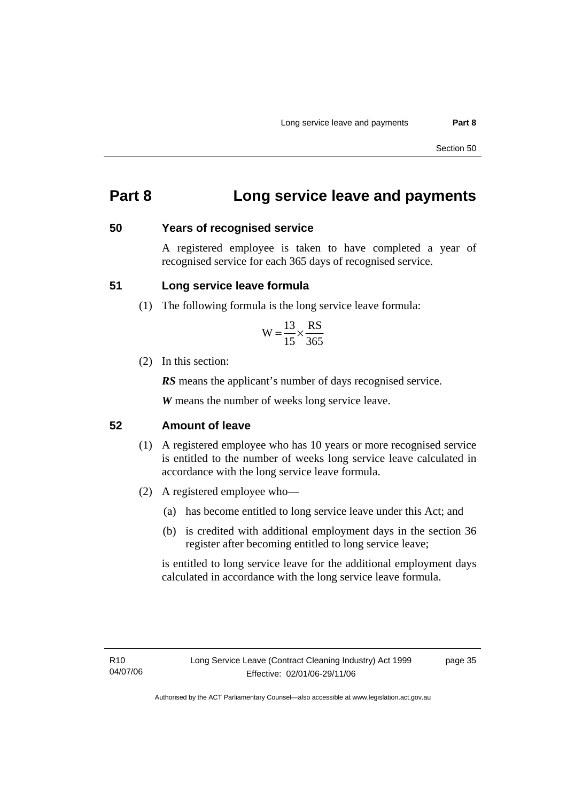## **Part 8 Long service leave and payments**

### **50 Years of recognised service**

A registered employee is taken to have completed a year of recognised service for each 365 days of recognised service.

### **51 Long service leave formula**

(1) The following formula is the long service leave formula:

$$
W = \frac{13}{15} \times \frac{RS}{365}
$$

(2) In this section:

*RS* means the applicant's number of days recognised service.

*W* means the number of weeks long service leave.

### **52 Amount of leave**

- (1) A registered employee who has 10 years or more recognised service is entitled to the number of weeks long service leave calculated in accordance with the long service leave formula.
- (2) A registered employee who—
	- (a) has become entitled to long service leave under this Act; and
	- (b) is credited with additional employment days in the section 36 register after becoming entitled to long service leave;

is entitled to long service leave for the additional employment days calculated in accordance with the long service leave formula.

page 35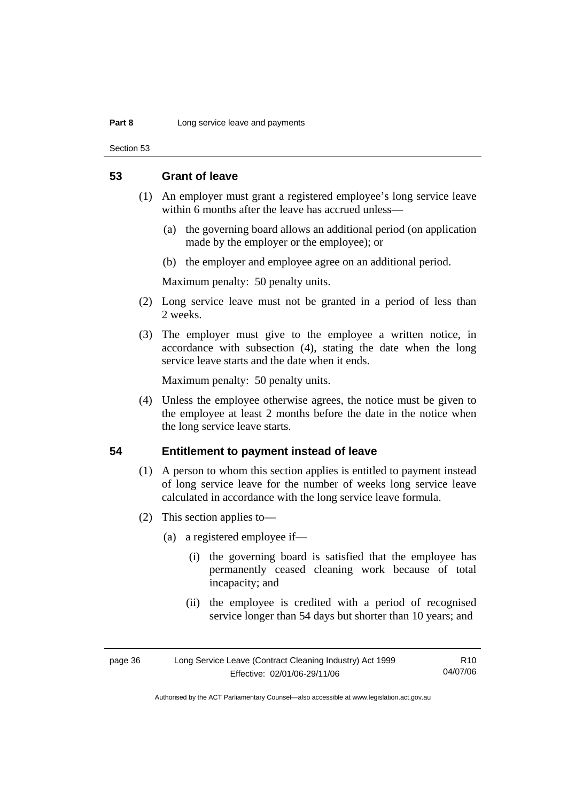#### **Part 8 Long service leave and payments**

Section 53

### **53 Grant of leave**

- (1) An employer must grant a registered employee's long service leave within 6 months after the leave has accrued unless—
	- (a) the governing board allows an additional period (on application made by the employer or the employee); or
	- (b) the employer and employee agree on an additional period.

Maximum penalty: 50 penalty units.

- (2) Long service leave must not be granted in a period of less than 2 weeks.
- (3) The employer must give to the employee a written notice, in accordance with subsection (4), stating the date when the long service leave starts and the date when it ends.

Maximum penalty: 50 penalty units.

 (4) Unless the employee otherwise agrees, the notice must be given to the employee at least 2 months before the date in the notice when the long service leave starts.

### **54 Entitlement to payment instead of leave**

- (1) A person to whom this section applies is entitled to payment instead of long service leave for the number of weeks long service leave calculated in accordance with the long service leave formula.
- (2) This section applies to—
	- (a) a registered employee if—
		- (i) the governing board is satisfied that the employee has permanently ceased cleaning work because of total incapacity; and
		- (ii) the employee is credited with a period of recognised service longer than 54 days but shorter than 10 years; and

| page 36 | Long Service Leave (Contract Cleaning Industry) Act 1999 | R <sub>10</sub> |
|---------|----------------------------------------------------------|-----------------|
|         | Effective: 02/01/06-29/11/06                             | 04/07/06        |

Authorised by the ACT Parliamentary Counsel—also accessible at www.legislation.act.gov.au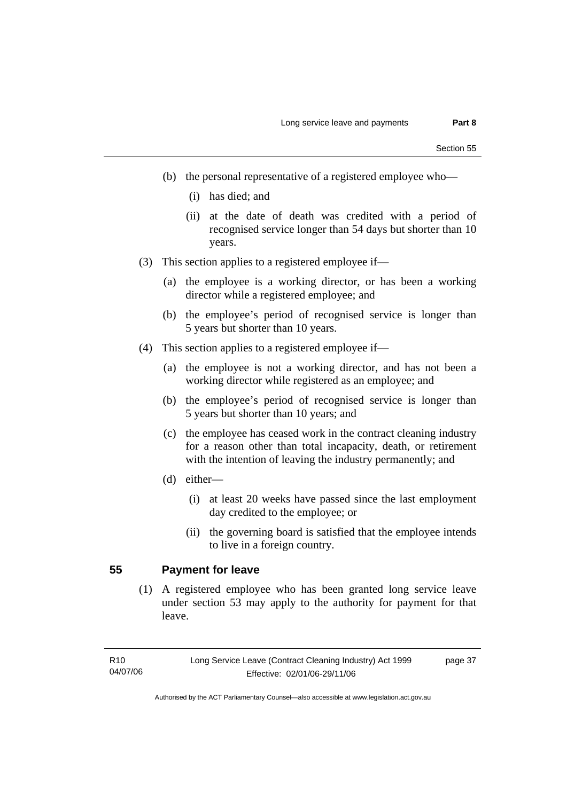- (b) the personal representative of a registered employee who—
	- (i) has died; and
	- (ii) at the date of death was credited with a period of recognised service longer than 54 days but shorter than 10 years.
- (3) This section applies to a registered employee if—
	- (a) the employee is a working director, or has been a working director while a registered employee; and
	- (b) the employee's period of recognised service is longer than 5 years but shorter than 10 years.
- (4) This section applies to a registered employee if—
	- (a) the employee is not a working director, and has not been a working director while registered as an employee; and
	- (b) the employee's period of recognised service is longer than 5 years but shorter than 10 years; and
	- (c) the employee has ceased work in the contract cleaning industry for a reason other than total incapacity, death, or retirement with the intention of leaving the industry permanently; and
	- (d) either—
		- (i) at least 20 weeks have passed since the last employment day credited to the employee; or
		- (ii) the governing board is satisfied that the employee intends to live in a foreign country.

## **55 Payment for leave**

 (1) A registered employee who has been granted long service leave under section 53 may apply to the authority for payment for that leave.

page 37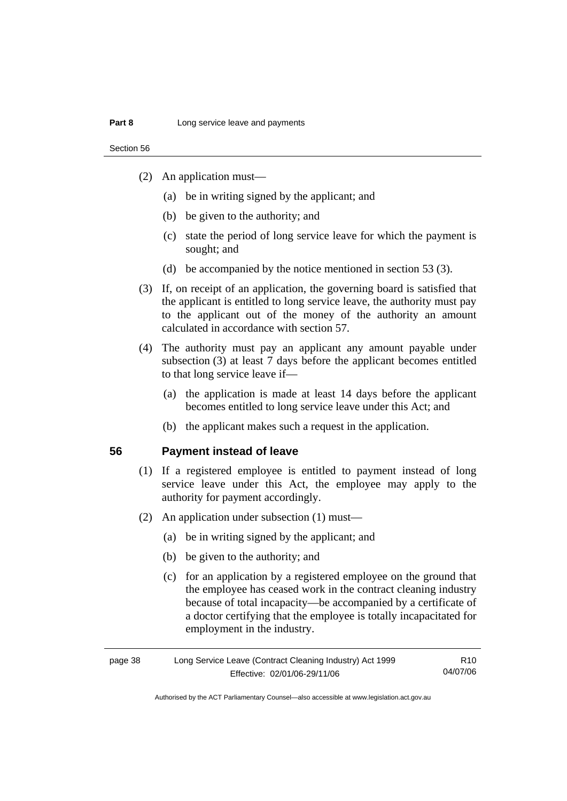Section 56

- (2) An application must—
	- (a) be in writing signed by the applicant; and
	- (b) be given to the authority; and
	- (c) state the period of long service leave for which the payment is sought; and
	- (d) be accompanied by the notice mentioned in section 53 (3).
- (3) If, on receipt of an application, the governing board is satisfied that the applicant is entitled to long service leave, the authority must pay to the applicant out of the money of the authority an amount calculated in accordance with section 57.
- (4) The authority must pay an applicant any amount payable under subsection (3) at least 7 days before the applicant becomes entitled to that long service leave if—
	- (a) the application is made at least 14 days before the applicant becomes entitled to long service leave under this Act; and
	- (b) the applicant makes such a request in the application.

### **56 Payment instead of leave**

- (1) If a registered employee is entitled to payment instead of long service leave under this Act, the employee may apply to the authority for payment accordingly.
- (2) An application under subsection (1) must—
	- (a) be in writing signed by the applicant; and
	- (b) be given to the authority; and
	- (c) for an application by a registered employee on the ground that the employee has ceased work in the contract cleaning industry because of total incapacity—be accompanied by a certificate of a doctor certifying that the employee is totally incapacitated for employment in the industry.

| page 38 | Long Service Leave (Contract Cleaning Industry) Act 1999 | R10      |
|---------|----------------------------------------------------------|----------|
|         | Effective: 02/01/06-29/11/06                             | 04/07/06 |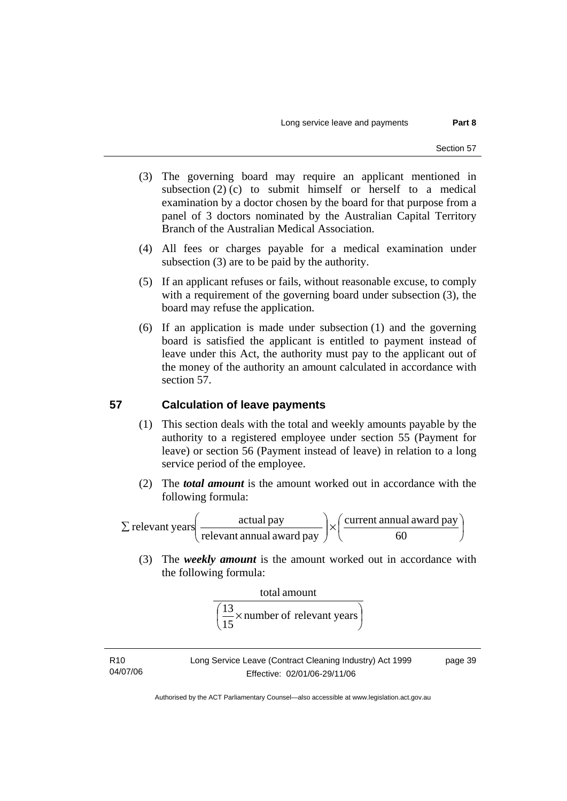- (3) The governing board may require an applicant mentioned in subsection  $(2)$  (c) to submit himself or herself to a medical examination by a doctor chosen by the board for that purpose from a panel of 3 doctors nominated by the Australian Capital Territory Branch of the Australian Medical Association.
- (4) All fees or charges payable for a medical examination under subsection (3) are to be paid by the authority.
- (5) If an applicant refuses or fails, without reasonable excuse, to comply with a requirement of the governing board under subsection (3), the board may refuse the application.
- (6) If an application is made under subsection (1) and the governing board is satisfied the applicant is entitled to payment instead of leave under this Act, the authority must pay to the applicant out of the money of the authority an amount calculated in accordance with section 57.

## **57 Calculation of leave payments**

- (1) This section deals with the total and weekly amounts payable by the authority to a registered employee under section 55 (Payment for leave) or section 56 (Payment instead of leave) in relation to a long service period of the employee.
- (2) The *total amount* is the amount worked out in accordance with the following formula:

⎟ ⎠  $\left(\frac{\text{current annual award pay}}{\text{60}}\right)$  $\bigg) \times \bigg($ ⎠ ⎞  $\parallel$ ⎝  $\Sigma$  relevant years 60 current annual award pay relevant annual award pay relevant years  $\begin{array}{c} \boxed{\phantom{0}} \end{array}$  actual pay

 (3) The *weekly amount* is the amount worked out in accordance with the following formula:

total amount 
$$
\frac{13}{\left(\frac{13}{15} \times \text{number of relevant years}\right)}
$$

R10 04/07/06 Long Service Leave (Contract Cleaning Industry) Act 1999 Effective: 02/01/06-29/11/06

page 39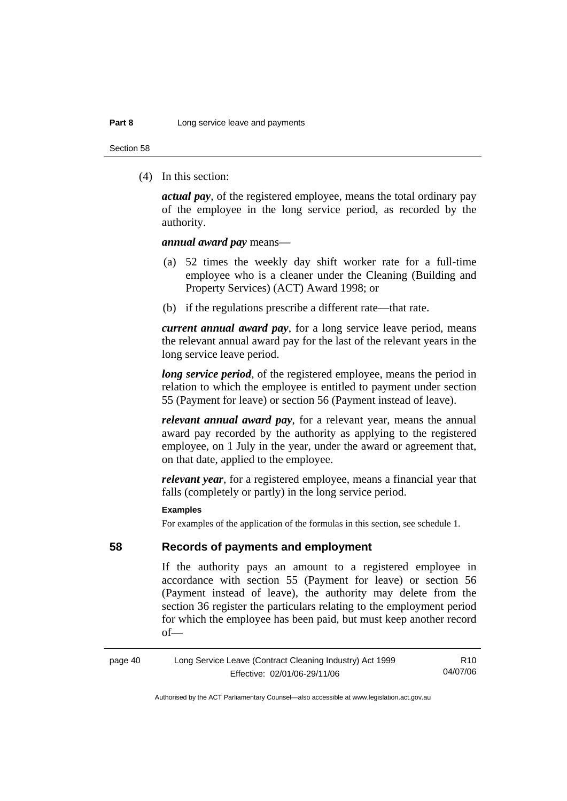Section 58

(4) In this section:

*actual pay*, of the registered employee, means the total ordinary pay of the employee in the long service period, as recorded by the authority.

### *annual award pay* means—

- (a) 52 times the weekly day shift worker rate for a full-time employee who is a cleaner under the Cleaning (Building and Property Services) (ACT) Award 1998; or
- (b) if the regulations prescribe a different rate—that rate.

*current annual award pay*, for a long service leave period, means the relevant annual award pay for the last of the relevant years in the long service leave period.

*long service period*, of the registered employee, means the period in relation to which the employee is entitled to payment under section 55 (Payment for leave) or section 56 (Payment instead of leave).

*relevant annual award pay*, for a relevant year, means the annual award pay recorded by the authority as applying to the registered employee, on 1 July in the year, under the award or agreement that, on that date, applied to the employee.

*relevant year*, for a registered employee, means a financial year that falls (completely or partly) in the long service period.

### **Examples**

For examples of the application of the formulas in this section, see schedule 1.

### **58 Records of payments and employment**

If the authority pays an amount to a registered employee in accordance with section 55 (Payment for leave) or section 56 (Payment instead of leave), the authority may delete from the section 36 register the particulars relating to the employment period for which the employee has been paid, but must keep another record of—

page 40 Long Service Leave (Contract Cleaning Industry) Act 1999 Effective: 02/01/06-29/11/06

R10 04/07/06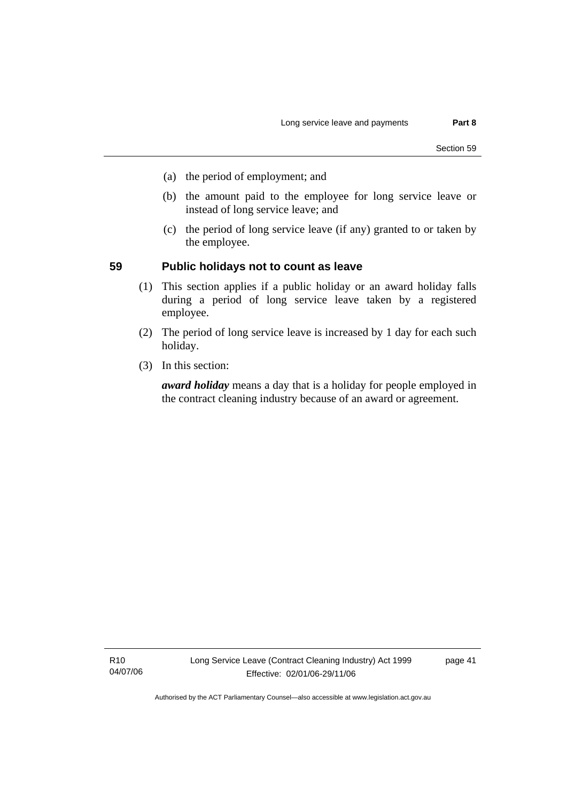- (a) the period of employment; and
- (b) the amount paid to the employee for long service leave or instead of long service leave; and
- (c) the period of long service leave (if any) granted to or taken by the employee.

### **59 Public holidays not to count as leave**

- (1) This section applies if a public holiday or an award holiday falls during a period of long service leave taken by a registered employee.
- (2) The period of long service leave is increased by 1 day for each such holiday.
- (3) In this section:

*award holiday* means a day that is a holiday for people employed in the contract cleaning industry because of an award or agreement.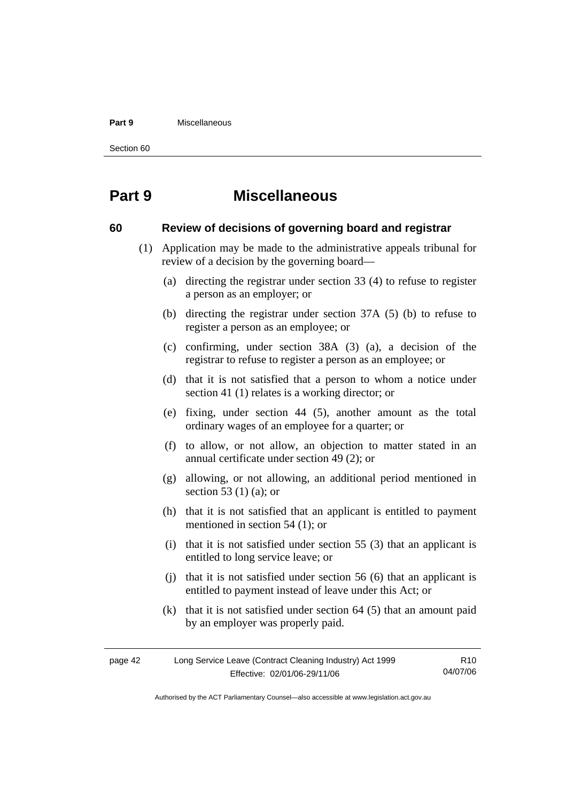#### **Part 9** Miscellaneous

Section 60

## **Part 9 Miscellaneous**

### **60 Review of decisions of governing board and registrar**

- (1) Application may be made to the administrative appeals tribunal for review of a decision by the governing board—
	- (a) directing the registrar under section 33 (4) to refuse to register a person as an employer; or
	- (b) directing the registrar under section 37A (5) (b) to refuse to register a person as an employee; or
	- (c) confirming, under section 38A (3) (a), a decision of the registrar to refuse to register a person as an employee; or
	- (d) that it is not satisfied that a person to whom a notice under section 41 (1) relates is a working director; or
	- (e) fixing, under section 44 (5), another amount as the total ordinary wages of an employee for a quarter; or
	- (f) to allow, or not allow, an objection to matter stated in an annual certificate under section 49 (2); or
	- (g) allowing, or not allowing, an additional period mentioned in section 53 (1) (a); or
	- (h) that it is not satisfied that an applicant is entitled to payment mentioned in section 54 (1); or
	- (i) that it is not satisfied under section 55 (3) that an applicant is entitled to long service leave; or
	- (j) that it is not satisfied under section 56 (6) that an applicant is entitled to payment instead of leave under this Act; or
	- (k) that it is not satisfied under section 64 (5) that an amount paid by an employer was properly paid.

| page 42 | Long Service Leave (Contract Cleaning Industry) Act 1999 | R <sub>10</sub> |
|---------|----------------------------------------------------------|-----------------|
|         | Effective: 02/01/06-29/11/06                             | 04/07/06        |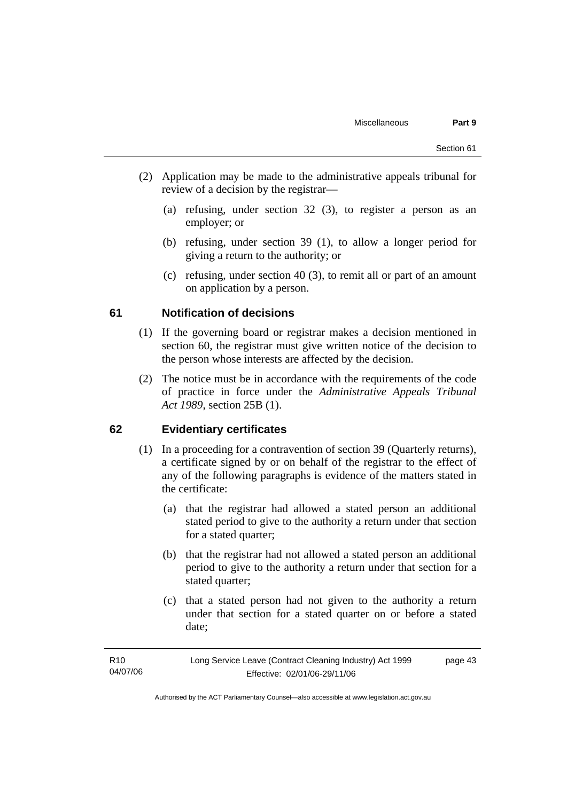- (2) Application may be made to the administrative appeals tribunal for review of a decision by the registrar—
	- (a) refusing, under section 32 (3), to register a person as an employer; or
	- (b) refusing, under section 39 (1), to allow a longer period for giving a return to the authority; or
	- (c) refusing, under section 40 (3), to remit all or part of an amount on application by a person.

### **61 Notification of decisions**

- (1) If the governing board or registrar makes a decision mentioned in section 60, the registrar must give written notice of the decision to the person whose interests are affected by the decision.
- (2) The notice must be in accordance with the requirements of the code of practice in force under the *Administrative Appeals Tribunal Act 1989*, section 25B (1).

### **62 Evidentiary certificates**

- (1) In a proceeding for a contravention of section 39 (Quarterly returns), a certificate signed by or on behalf of the registrar to the effect of any of the following paragraphs is evidence of the matters stated in the certificate:
	- (a) that the registrar had allowed a stated person an additional stated period to give to the authority a return under that section for a stated quarter;
	- (b) that the registrar had not allowed a stated person an additional period to give to the authority a return under that section for a stated quarter;
	- (c) that a stated person had not given to the authority a return under that section for a stated quarter on or before a stated date;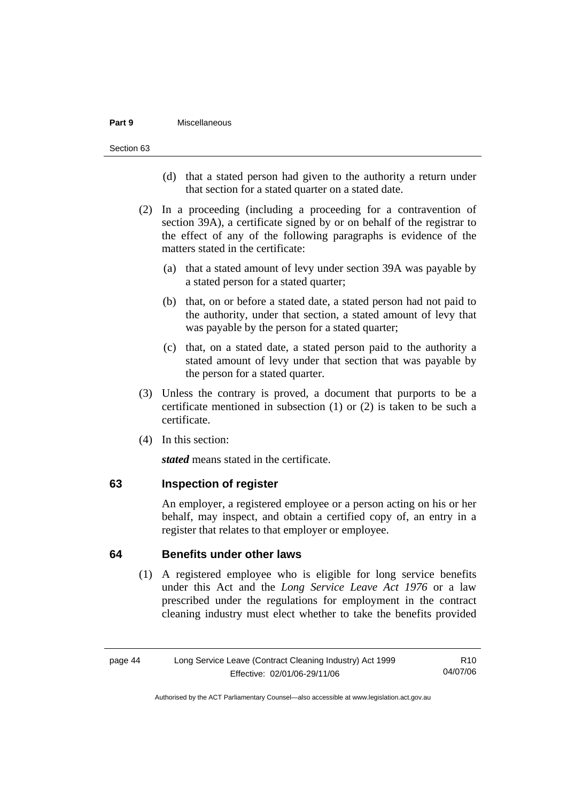#### **Part 9** Miscellaneous

Section 63

- (d) that a stated person had given to the authority a return under that section for a stated quarter on a stated date.
- (2) In a proceeding (including a proceeding for a contravention of section 39A), a certificate signed by or on behalf of the registrar to the effect of any of the following paragraphs is evidence of the matters stated in the certificate:
	- (a) that a stated amount of levy under section 39A was payable by a stated person for a stated quarter;
	- (b) that, on or before a stated date, a stated person had not paid to the authority, under that section, a stated amount of levy that was payable by the person for a stated quarter;
	- (c) that, on a stated date, a stated person paid to the authority a stated amount of levy under that section that was payable by the person for a stated quarter.
- (3) Unless the contrary is proved, a document that purports to be a certificate mentioned in subsection (1) or (2) is taken to be such a certificate.
- (4) In this section:

*stated* means stated in the certificate.

### **63 Inspection of register**

An employer, a registered employee or a person acting on his or her behalf, may inspect, and obtain a certified copy of, an entry in a register that relates to that employer or employee.

### **64 Benefits under other laws**

 (1) A registered employee who is eligible for long service benefits under this Act and the *Long Service Leave Act 1976* or a law prescribed under the regulations for employment in the contract cleaning industry must elect whether to take the benefits provided

page 44 Long Service Leave (Contract Cleaning Industry) Act 1999 Effective: 02/01/06-29/11/06 R10 04/07/06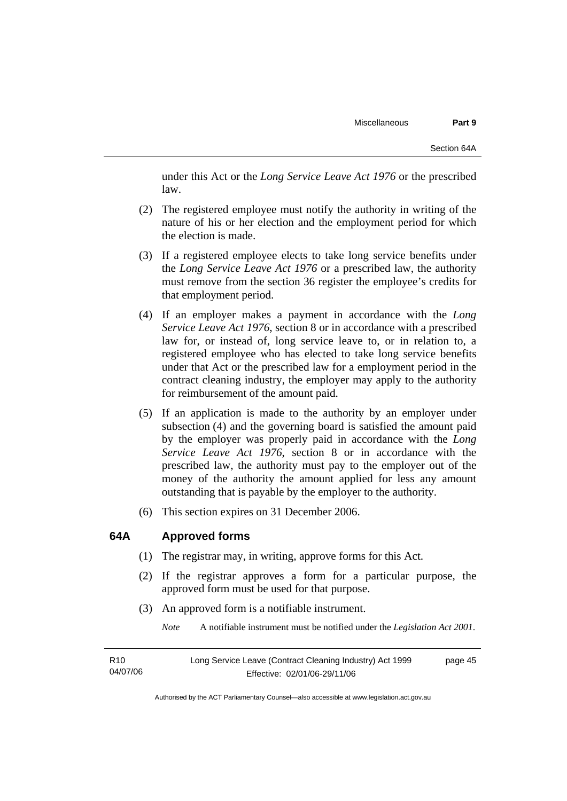under this Act or the *Long Service Leave Act 1976* or the prescribed law.

- (2) The registered employee must notify the authority in writing of the nature of his or her election and the employment period for which the election is made.
- (3) If a registered employee elects to take long service benefits under the *Long Service Leave Act 1976* or a prescribed law, the authority must remove from the section 36 register the employee's credits for that employment period.
- (4) If an employer makes a payment in accordance with the *Long Service Leave Act 1976*, section 8 or in accordance with a prescribed law for, or instead of, long service leave to, or in relation to, a registered employee who has elected to take long service benefits under that Act or the prescribed law for a employment period in the contract cleaning industry, the employer may apply to the authority for reimbursement of the amount paid.
- (5) If an application is made to the authority by an employer under subsection (4) and the governing board is satisfied the amount paid by the employer was properly paid in accordance with the *Long Service Leave Act 1976*, section 8 or in accordance with the prescribed law, the authority must pay to the employer out of the money of the authority the amount applied for less any amount outstanding that is payable by the employer to the authority.
- (6) This section expires on 31 December 2006.

### **64A Approved forms**

- (1) The registrar may, in writing, approve forms for this Act.
- (2) If the registrar approves a form for a particular purpose, the approved form must be used for that purpose.
- (3) An approved form is a notifiable instrument.

*Note* A notifiable instrument must be notified under the *Legislation Act 2001*.

| R <sub>10</sub> | Long Service Leave (Contract Cleaning Industry) Act 1999 | page 45 |
|-----------------|----------------------------------------------------------|---------|
| 04/07/06        | Effective: 02/01/06-29/11/06                             |         |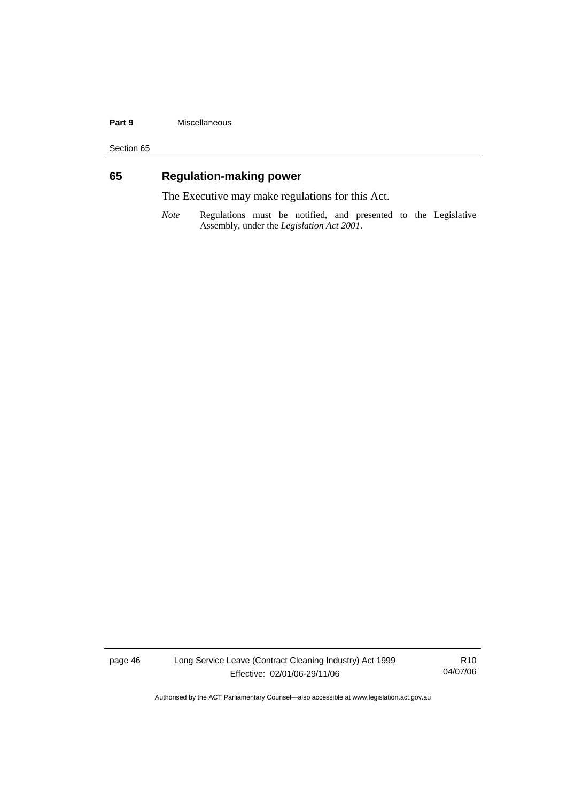### **Part 9** Miscellaneous

Section 65

## **65 Regulation-making power**

The Executive may make regulations for this Act.

*Note* Regulations must be notified, and presented to the Legislative Assembly, under the *Legislation Act 2001*.

page 46 Long Service Leave (Contract Cleaning Industry) Act 1999 Effective: 02/01/06-29/11/06

R10 04/07/06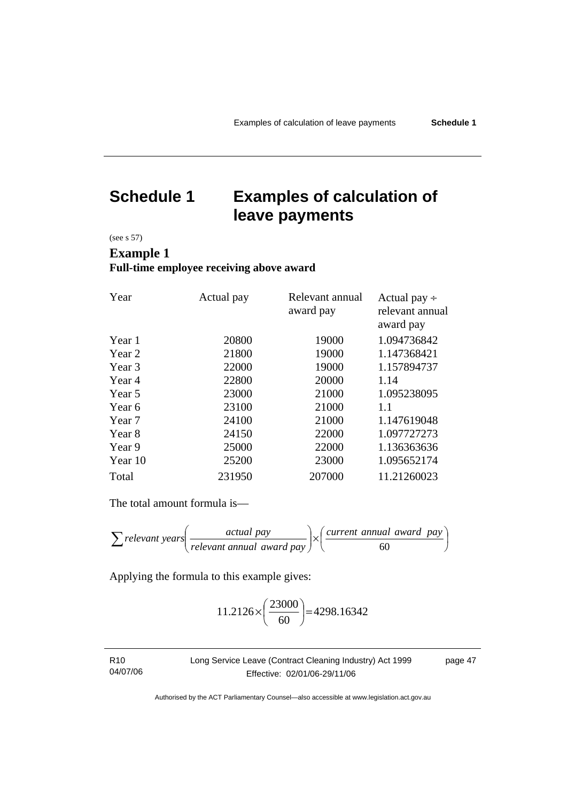## **Schedule 1 Examples of calculation of leave payments**

(see s 57)

## **Example 1 Full-time employee receiving above award**

| Year    | Actual pay | Relevant annual<br>award pay | Actual pay $\div$<br>relevant annual |
|---------|------------|------------------------------|--------------------------------------|
|         |            |                              | award pay                            |
| Year 1  | 20800      | 19000                        | 1.094736842                          |
| Year 2  | 21800      | 19000                        | 1.147368421                          |
| Year 3  | 22000      | 19000                        | 1.157894737                          |
| Year 4  | 22800      | 20000                        | 1.14                                 |
| Year 5  | 23000      | 21000                        | 1.095238095                          |
| Year 6  | 23100      | 21000                        | 1.1                                  |
| Year 7  | 24100      | 21000                        | 1.147619048                          |
| Year 8  | 24150      | 22000                        | 1.097727273                          |
| Year 9  | 25000      | 22000                        | 1.136363636                          |
| Year 10 | 25200      | 23000                        | 1.095652174                          |
| Total   | 231950     | 207000                       | 11.21260023                          |

The total amount formula is—

$$
\sum \text{relevant years} \left( \frac{\text{actual pay}}{\text{relevant annual award pay}} \right) \times \left( \frac{\text{current annual award pay}}{60} \right)
$$

Applying the formula to this example gives:

$$
11.2126 \times \left(\frac{23000}{60}\right) = 4298.16342
$$

| R10      | Long Service Leave (Contract Cleaning Industry) Act 1999 | page 47 |
|----------|----------------------------------------------------------|---------|
| 04/07/06 | Effective: 02/01/06-29/11/06                             |         |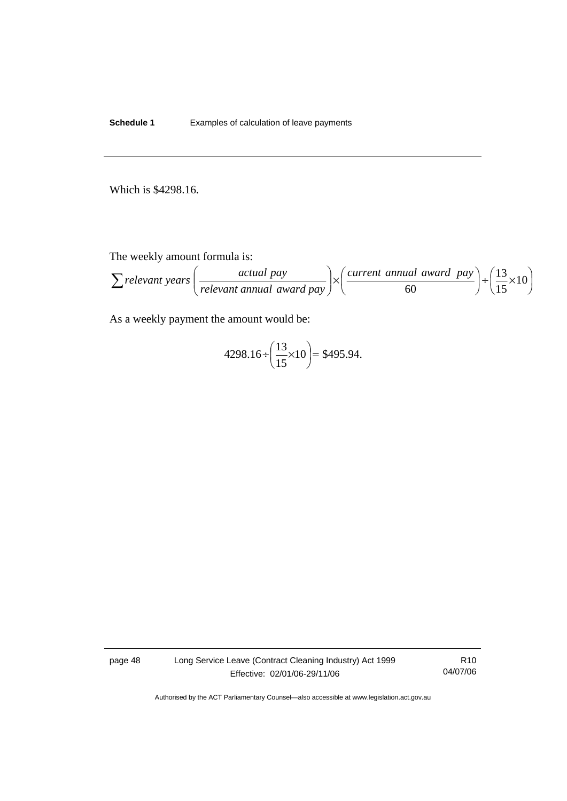**Schedule 1** Examples of calculation of leave payments

Which is \$4298.16.

The weekly amount formula is:

$$
\sum relevant\ years\left(\frac{actual\ pay}{relevant\ annual\ award\ pay}\right) \times \left(\frac{current\ annual\ award\ pay}{60}\right) + \left(\frac{13}{15} \times 10\right)
$$

As a weekly payment the amount would be:

$$
4298.16 \div \left(\frac{13}{15} \times 10\right) = $495.94.
$$

page 48 Long Service Leave (Contract Cleaning Industry) Act 1999 Effective: 02/01/06-29/11/06

R10 04/07/06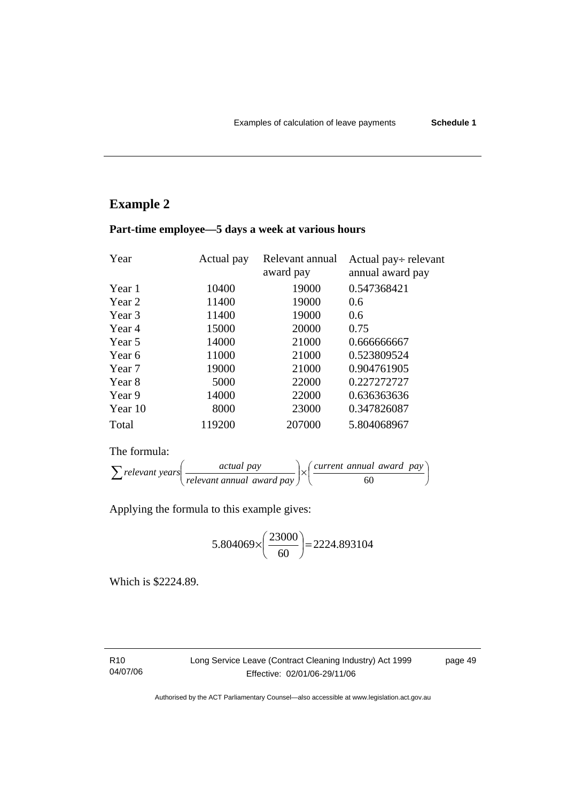## **Example 2**

| Year    | Actual pay | Relevant annual<br>award pay | Actual pay÷ relevant<br>annual award pay |
|---------|------------|------------------------------|------------------------------------------|
| Year 1  | 10400      | 19000                        | 0.547368421                              |
| Year 2  | 11400      | 19000                        | 0.6                                      |
| Year 3  | 11400      | 19000                        | 0.6                                      |
| Year 4  | 15000      | 20000                        | 0.75                                     |
| Year 5  | 14000      | 21000                        | 0.666666667                              |
| Year 6  | 11000      | 21000                        | 0.523809524                              |
| Year 7  | 19000      | 21000                        | 0.904761905                              |
| Year 8  | 5000       | 22000                        | 0.227272727                              |
| Year 9  | 14000      | 22000                        | 0.636363636                              |
| Year 10 | 8000       | 23000                        | 0.347826087                              |
| Total   | 119200     | 207000                       | 5.804068967                              |

## **Part-time employee—5 days a week at various hours**

The formula:

| relevant years | <i>actual pay</i>         | current annual award pay |  |  |
|----------------|---------------------------|--------------------------|--|--|
|                | relevant annual award pay |                          |  |  |

Applying the formula to this example gives:

$$
5.804069 \times \left(\frac{23000}{60}\right) = 2224.893104
$$

Which is \$2224.89.

R10 04/07/06 Long Service Leave (Contract Cleaning Industry) Act 1999 Effective: 02/01/06-29/11/06

page 49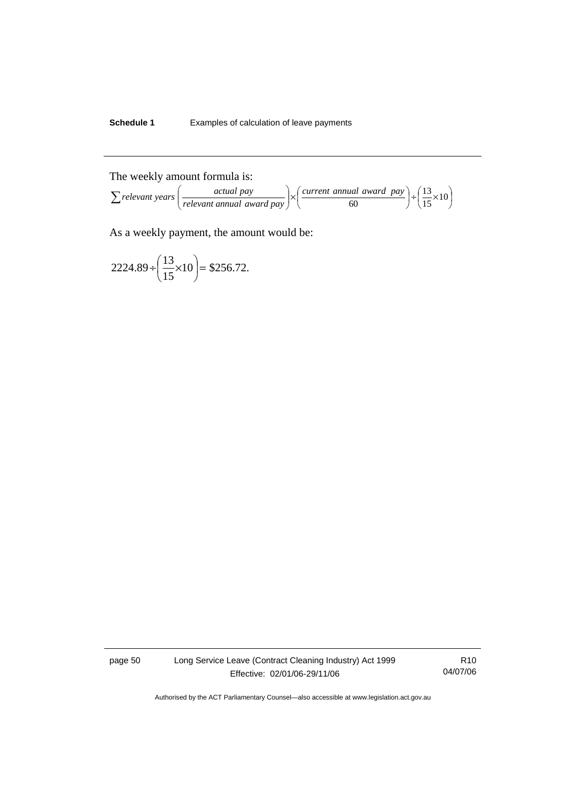## **Schedule 1** Examples of calculation of leave payments

The weekly amount formula is:

$$
\sum relevant\ years\left(\frac{\ actual\ pay}{relevant\ annual\ award\ pay}\right) \times \left(\frac{\ current\ annual\ award\ pay}{60}\right) + \left(\frac{13}{15} \times 10\right)
$$

As a weekly payment, the amount would be:

$$
2224.89 \div \left(\frac{13}{15} \times 10\right) = $256.72.
$$

page 50 Long Service Leave (Contract Cleaning Industry) Act 1999 Effective: 02/01/06-29/11/06

R10 04/07/06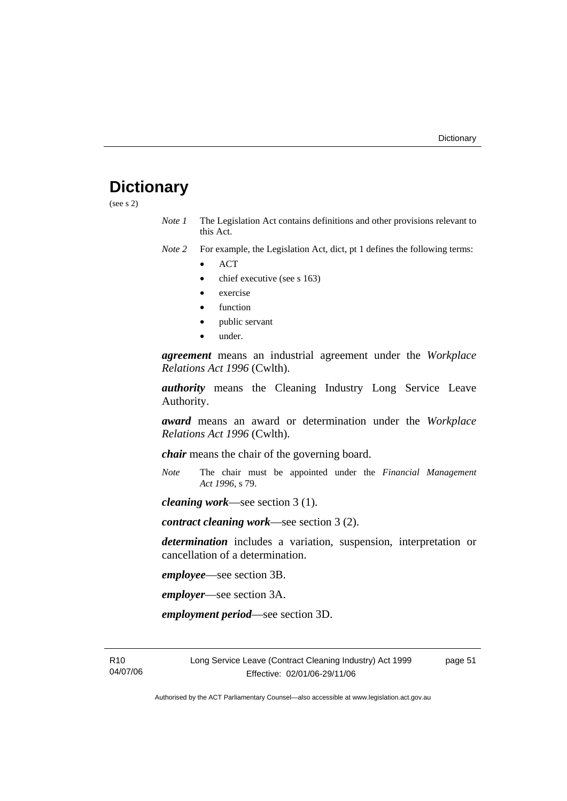## **Dictionary**

(see s 2)

*Note 1* The Legislation Act contains definitions and other provisions relevant to this Act.

*Note 2* For example, the Legislation Act, dict, pt 1 defines the following terms:

- ACT
- chief executive (see s 163)
- exercise
- function
- public servant
- under.

*agreement* means an industrial agreement under the *Workplace Relations Act 1996* (Cwlth).

*authority* means the Cleaning Industry Long Service Leave Authority.

*award* means an award or determination under the *Workplace Relations Act 1996* (Cwlth).

*chair* means the chair of the governing board.

*Note* The chair must be appointed under the *Financial Management Act 1996*, s 79.

*cleaning work*—see section 3 (1).

*contract cleaning work*—see section 3 (2).

*determination* includes a variation, suspension, interpretation or cancellation of a determination.

*employee*—see section 3B.

*employer*—see section 3A.

*employment period*—see section 3D.

R10 04/07/06 Long Service Leave (Contract Cleaning Industry) Act 1999 Effective: 02/01/06-29/11/06

page 51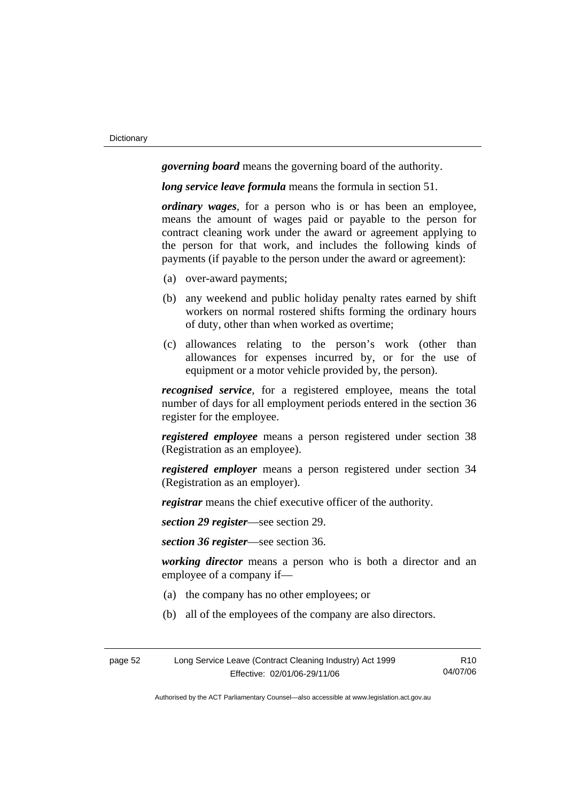*governing board* means the governing board of the authority.

*long service leave formula* means the formula in section 51.

*ordinary wages*, for a person who is or has been an employee, means the amount of wages paid or payable to the person for contract cleaning work under the award or agreement applying to the person for that work, and includes the following kinds of payments (if payable to the person under the award or agreement):

- (a) over-award payments;
- (b) any weekend and public holiday penalty rates earned by shift workers on normal rostered shifts forming the ordinary hours of duty, other than when worked as overtime;
- (c) allowances relating to the person's work (other than allowances for expenses incurred by, or for the use of equipment or a motor vehicle provided by, the person).

*recognised service*, for a registered employee, means the total number of days for all employment periods entered in the section 36 register for the employee.

*registered employee* means a person registered under section 38 (Registration as an employee).

*registered employer* means a person registered under section 34 (Registration as an employer).

*registrar* means the chief executive officer of the authority.

*section 29 register*—see section 29.

*section 36 register*—see section 36.

*working director* means a person who is both a director and an employee of a company if—

- (a) the company has no other employees; or
- (b) all of the employees of the company are also directors.

| page 52 | Long Service Leave (Contract Cleaning Industry) Act 1999 | R <sub>10</sub> |
|---------|----------------------------------------------------------|-----------------|
|         | Effective: 02/01/06-29/11/06                             | 04/07/06        |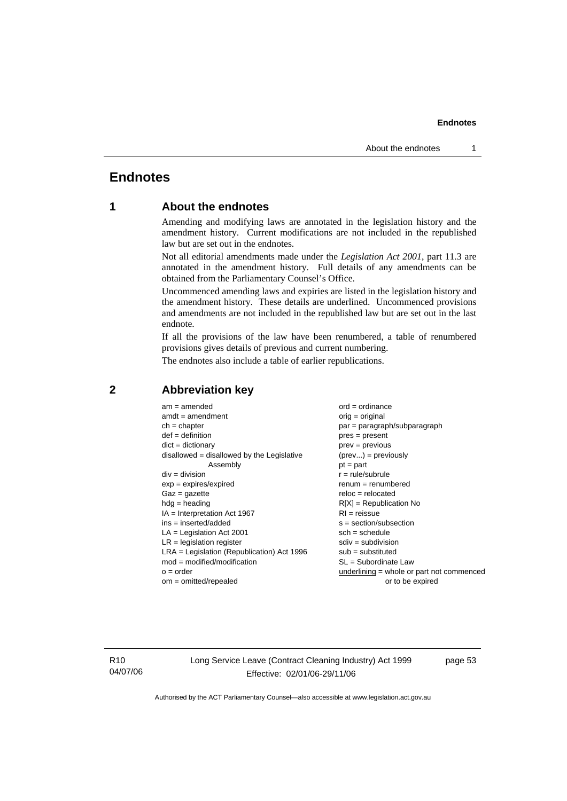## **Endnotes**

## **1 About the endnotes**

Amending and modifying laws are annotated in the legislation history and the amendment history. Current modifications are not included in the republished law but are set out in the endnotes.

Not all editorial amendments made under the *Legislation Act 2001*, part 11.3 are annotated in the amendment history. Full details of any amendments can be obtained from the Parliamentary Counsel's Office.

Uncommenced amending laws and expiries are listed in the legislation history and the amendment history. These details are underlined. Uncommenced provisions and amendments are not included in the republished law but are set out in the last endnote.

If all the provisions of the law have been renumbered, a table of renumbered provisions gives details of previous and current numbering.

The endnotes also include a table of earlier republications.

| $am = amended$                               | $ord = ordinance$                         |
|----------------------------------------------|-------------------------------------------|
| $amdt = amendment$                           | $orig = original$                         |
| $ch = chapter$                               | par = paragraph/subparagraph              |
| $def = definition$                           | $pres = present$                          |
| $dict = dictionary$                          | $prev = previous$                         |
| disallowed = disallowed by the Legislative   | $(\text{prev}) = \text{previously}$       |
| Assembly                                     | $pt = part$                               |
| $div = division$                             | $r = rule/subrule$                        |
| $exp = expires/expired$                      | $renum = renumbered$                      |
| $Gaz = gazette$                              | $reloc = relocated$                       |
| $hda =$ heading                              | $R[X]$ = Republication No                 |
| $IA = Interpretation Act 1967$               | $RI = reissue$                            |
| $ins = inserted/added$                       | $s = section/subsection$                  |
| $LA =$ Legislation Act 2001                  | $sch = schedule$                          |
| $LR =$ legislation register                  | $sdiv = subdivision$                      |
| $LRA =$ Legislation (Republication) Act 1996 | $sub = substituted$                       |
| $mod = modified/modification$                | $SL = Subordinate$ Law                    |
| $o = order$                                  | underlining = whole or part not commenced |
| $om = omitted/repealed$                      | or to be expired                          |
|                                              |                                           |

### **2 Abbreviation key**

R10 04/07/06 Long Service Leave (Contract Cleaning Industry) Act 1999 Effective: 02/01/06-29/11/06

page 53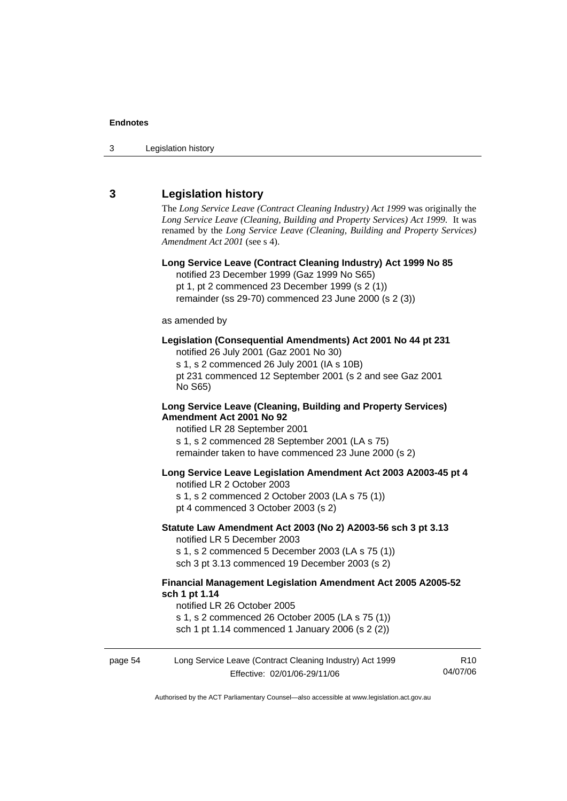3 Legislation history

### **3 Legislation history**

The *Long Service Leave (Contract Cleaning Industry) Act 1999* was originally the *Long Service Leave (Cleaning, Building and Property Services) Act 1999*. It was renamed by the *Long Service Leave (Cleaning, Building and Property Services) Amendment Act 2001* (see s 4).

**Long Service Leave (Contract Cleaning Industry) Act 1999 No 85**  notified 23 December 1999 (Gaz 1999 No S65) pt 1, pt 2 commenced 23 December 1999 (s 2 (1)) remainder (ss 29-70) commenced 23 June 2000 (s 2 (3)) as amended by **Legislation (Consequential Amendments) Act 2001 No 44 pt 231**  notified 26 July 2001 (Gaz 2001 No 30) s 1, s 2 commenced 26 July 2001 (IA s 10B) pt 231 commenced 12 September 2001 (s 2 and see Gaz 2001 No S65) **Long Service Leave (Cleaning, Building and Property Services) Amendment Act 2001 No 92**  notified LR 28 September 2001 s 1, s 2 commenced 28 September 2001 (LA s 75) remainder taken to have commenced 23 June 2000 (s 2) **Long Service Leave Legislation Amendment Act 2003 A2003-45 pt 4**  notified LR 2 October 2003 s 1, s 2 commenced 2 October 2003 (LA s 75 (1)) pt 4 commenced 3 October 2003 (s 2) **Statute Law Amendment Act 2003 (No 2) A2003-56 sch 3 pt 3.13**  notified LR 5 December 2003 s 1, s 2 commenced 5 December 2003 (LA s 75 (1)) sch 3 pt 3.13 commenced 19 December 2003 (s 2) **Financial Management Legislation Amendment Act 2005 A2005-52 sch 1 pt 1.14**  notified LR 26 October 2005 s 1, s 2 commenced 26 October 2005 (LA s 75 (1)) sch 1 pt 1.14 commenced 1 January 2006 (s 2 (2))

page 54 Long Service Leave (Contract Cleaning Industry) Act 1999 Effective: 02/01/06-29/11/06 R10 04/07/06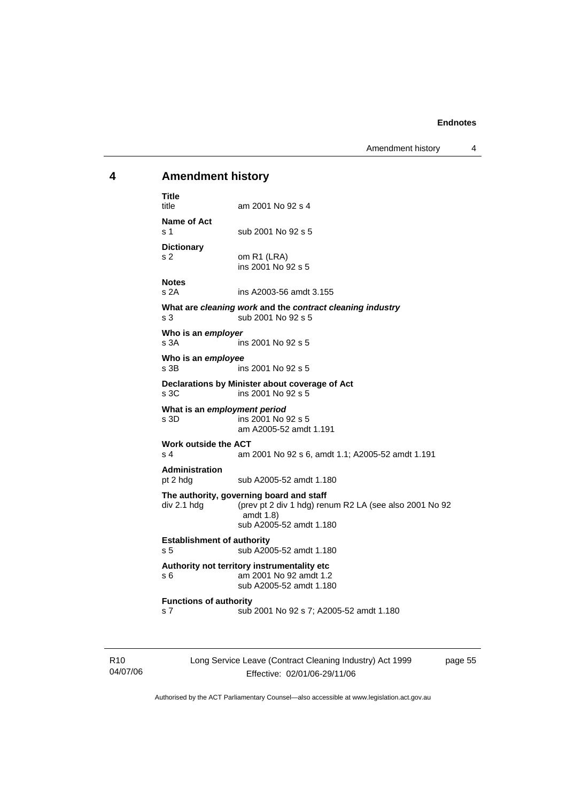Amendment history 4

### **4 Amendment history**

**Title**  am 2001 No 92 s 4 **Name of Act**  s 1 sub 2001 No 92 s 5 **Dictionary**  s 2 om R1 (LRA) ins 2001 No 92 s 5 **Notes**  s 2A ins A2003-56 amdt 3.155 **What are** *cleaning work* **and the** *contract cleaning industry* s 3 sub 2001 No 92 s 5 **Who is an** *employer*  s 3A ins 2001 No 92 s 5 **Who is an** *employee*  ins 2001 No 92 s 5 **Declarations by Minister about coverage of Act**  s 3C ins 2001 No 92 s 5 **What is an** *employment period*  s 3D ins 2001 No 92 s 5 am A2005-52 amdt 1.191 **Work outside the ACT**  s 4 am 2001 No 92 s 6, amdt 1.1; A2005-52 amdt 1.191 **Administration**  pt 2 hdg sub A2005-52 amdt 1.180 **The authority, governing board and staff**  div 2.1 hdg (prev pt 2 div 1 hdg) renum R2 LA (see also 2001 No 92 amdt 1.8) sub A2005-52 amdt 1.180 **Establishment of authority**  s 5 sub A2005-52 amdt 1.180 **Authority not territory instrumentality etc**  s 6 am 2001 No 92 amdt 1.2 sub A2005-52 amdt 1.180 **Functions of authority**  s 7 sub 2001 No 92 s 7; A2005-52 amdt 1.180

R10 04/07/06 Long Service Leave (Contract Cleaning Industry) Act 1999 Effective: 02/01/06-29/11/06

page 55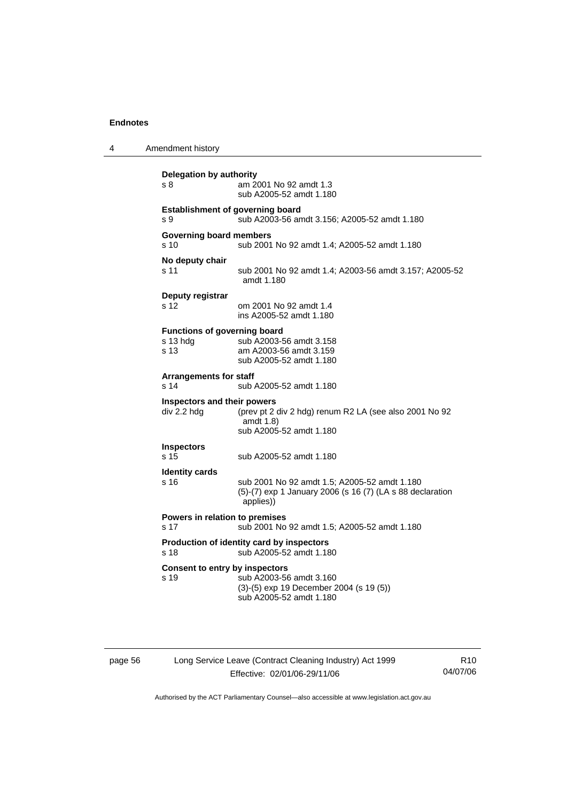| 4 | Amendment history                                 |                                                                                                                        |
|---|---------------------------------------------------|------------------------------------------------------------------------------------------------------------------------|
|   | <b>Delegation by authority</b><br>s 8             | am 2001 No 92 amdt 1.3<br>sub A2005-52 amdt 1.180                                                                      |
|   | <b>Establishment of governing board</b><br>s 9    | sub A2003-56 amdt 3.156; A2005-52 amdt 1.180                                                                           |
|   | <b>Governing board members</b><br>s <sub>10</sub> | sub 2001 No 92 amdt 1.4; A2005-52 amdt 1.180                                                                           |
|   | No deputy chair<br>s 11                           | sub 2001 No 92 amdt 1.4; A2003-56 amdt 3.157; A2005-52<br>amdt 1.180                                                   |
|   | Deputy registrar<br>s 12                          | om 2001 No 92 amdt 1.4<br>ins A2005-52 amdt 1.180                                                                      |
|   | Functions of governing board<br>s 13 hdg<br>s 13  | sub A2003-56 amdt 3.158<br>am A2003-56 amdt 3.159<br>sub A2005-52 amdt 1.180                                           |
|   | <b>Arrangements for staff</b><br>s 14             | sub A2005-52 amdt 1.180                                                                                                |
|   | Inspectors and their powers<br>div 2.2 hdg        | (prev pt 2 div 2 hdg) renum R2 LA (see also 2001 No 92<br>amdt 1.8)<br>sub A2005-52 amdt 1.180                         |
|   | <b>Inspectors</b><br>s 15                         | sub A2005-52 amdt 1.180                                                                                                |
|   | <b>Identity cards</b><br>s 16                     | sub 2001 No 92 amdt 1.5; A2005-52 amdt 1.180<br>(5)-(7) exp 1 January 2006 (s 16 (7) (LA s 88 declaration<br>applies)) |
|   | Powers in relation to premises<br>s 17            | sub 2001 No 92 amdt 1.5; A2005-52 amdt 1.180                                                                           |
|   | s 18                                              | Production of identity card by inspectors<br>sub A2005-52 amdt 1.180                                                   |
|   | <b>Consent to entry by inspectors</b><br>s 19     | sub A2003-56 amdt 3.160<br>(3)-(5) exp 19 December 2004 (s 19 (5))<br>sub A2005-52 amdt 1.180                          |

page 56 Long Service Leave (Contract Cleaning Industry) Act 1999 Effective: 02/01/06-29/11/06

R10 04/07/06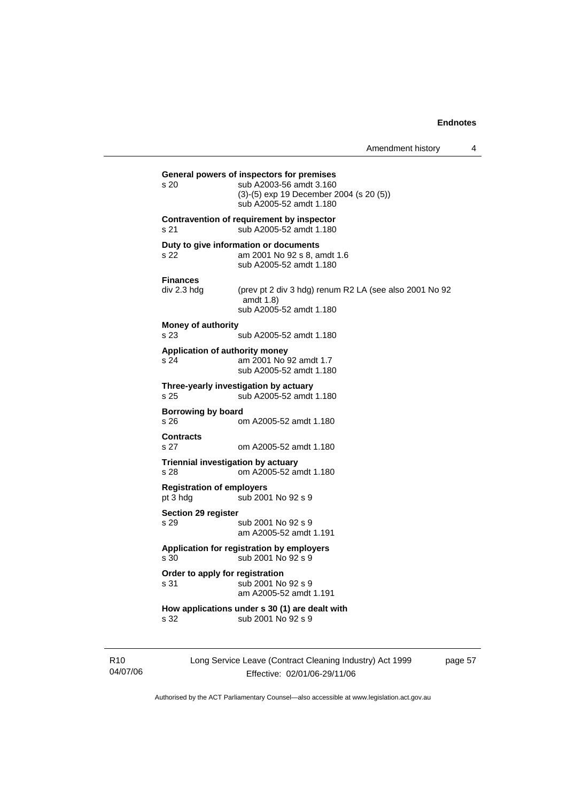| Amendment history |  |
|-------------------|--|
|-------------------|--|

**General powers of inspectors for premises**  s 20 sub A2003-56 amdt 3.160 (3)-(5) exp 19 December 2004 (s 20 (5)) sub A2005-52 amdt 1.180 **Contravention of requirement by inspector**  s 21 sub A2005-52 amdt 1.180 **Duty to give information or documents**  s 22 am 2001 No 92 s 8, amdt 1.6 sub A2005-52 amdt 1.180 **Finances**  div 2.3 hdg (prev pt 2 div 3 hdg) renum R2 LA (see also 2001 No 92 amdt 1.8) sub A2005-52 amdt 1.180 **Money of authority**  s 23 sub A2005-52 amdt 1.180 **Application of authority money**  s 24 am 2001 No 92 amdt 1.7 sub A2005-52 amdt 1.180 **Three-yearly investigation by actuary**  s 25 sub A2005-52 amdt 1.180 **Borrowing by board**  s 26 om A2005-52 amdt 1.180 **Contracts**  s 27 om A2005-52 amdt 1.180 **Triennial investigation by actuary**  s 28 om A2005-52 amdt 1.180 **Registration of employers**  pt 3 hdg sub 2001 No 92 s 9 **Section 29 register**  s 29 sub 2001 No 92 s 9 am A2005-52 amdt 1.191 **Application for registration by employers**  s 30 sub 2001 No 92 s 9 **Order to apply for registration**  s 31 sub 2001 No 92 s 9 am A2005-52 amdt 1.191 **How applications under s 30 (1) are dealt with**  s 32 sub 2001 No 92 s 9

R10 04/07/06 Long Service Leave (Contract Cleaning Industry) Act 1999 Effective: 02/01/06-29/11/06

page 57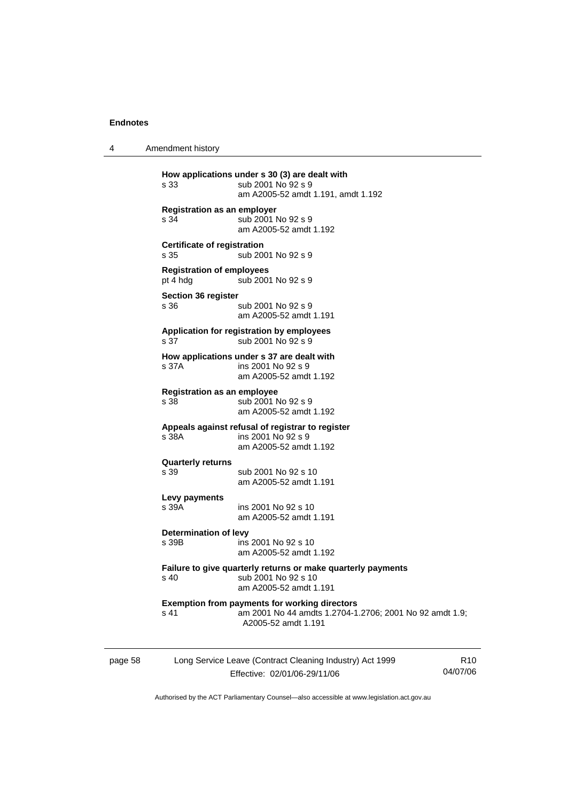4 Amendment history

|         | s 33                                         | How applications under s 30 (3) are dealt with<br>sub 2001 No 92 s 9<br>am A2005-52 amdt 1.191, amdt 1.192                   |
|---------|----------------------------------------------|------------------------------------------------------------------------------------------------------------------------------|
|         | <b>Registration as an employer</b><br>s 34   | sub 2001 No 92 s 9<br>am A2005-52 amdt 1.192                                                                                 |
|         | <b>Certificate of registration</b><br>s 35   | sub 2001 No 92 s 9                                                                                                           |
|         | <b>Registration of employees</b><br>pt 4 hdg | sub 2001 No 92 s 9                                                                                                           |
|         | <b>Section 36 register</b><br>s 36           | sub 2001 No 92 s 9<br>am A2005-52 amdt 1.191                                                                                 |
|         | s 37                                         | Application for registration by employees<br>sub 2001 No 92 s 9                                                              |
|         | s 37A                                        | How applications under s 37 are dealt with<br>ins 2001 No 92 s 9<br>am A2005-52 amdt 1.192                                   |
|         | <b>Registration as an employee</b><br>s 38   | sub 2001 No 92 s 9<br>am A2005-52 amdt 1.192                                                                                 |
|         | s 38A                                        | Appeals against refusal of registrar to register<br>ins 2001 No 92 s 9<br>am A2005-52 amdt 1.192                             |
|         | <b>Quarterly returns</b><br>s 39             | sub 2001 No 92 s 10<br>am A2005-52 amdt 1.191                                                                                |
|         | Levy payments<br>s 39A                       | ins 2001 No 92 s 10<br>am A2005-52 amdt 1.191                                                                                |
|         | Determination of levy<br>s 39B               | ins 2001 No 92 s 10<br>am A2005-52 amdt 1.192                                                                                |
|         | s 40                                         | Failure to give quarterly returns or make quarterly payments<br>sub 2001 No 92 s 10<br>am A2005-52 amdt 1.191                |
|         | s 41                                         | <b>Exemption from payments for working directors</b><br>am 2001 No 44 amdts 1.2704-1.2706; 2001 No 92<br>A2005-52 amdt 1.191 |
| page 58 |                                              | Long Service Leave (Contract Cleaning Industry) Act 1999                                                                     |

Effective: 02/01/06-29/11/06

R10 04/07/06

amdt 1.9;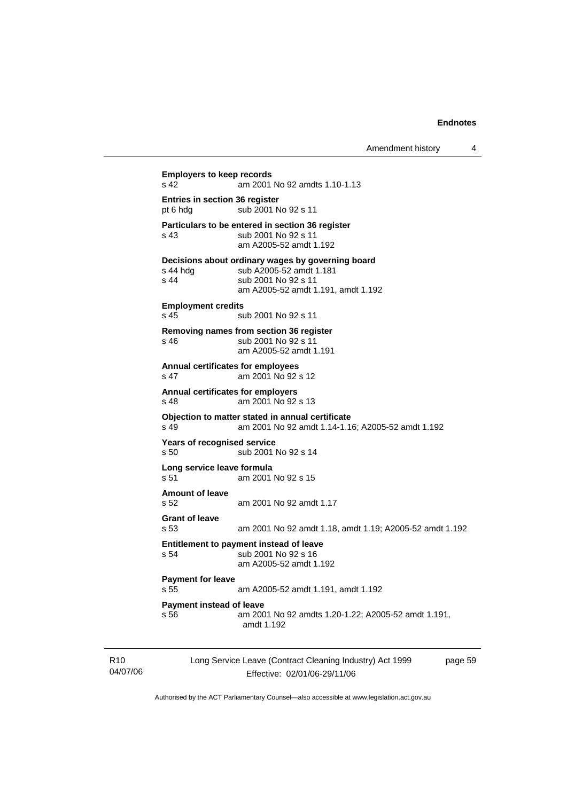page 59

| s 42                                                  | am 2001 No 92 amdts 1.10-1.13                                                                                                             |
|-------------------------------------------------------|-------------------------------------------------------------------------------------------------------------------------------------------|
| <b>Entries in section 36 register</b><br>pt 6 hdg     | sub 2001 No 92 s 11                                                                                                                       |
| s 43                                                  | Particulars to be entered in section 36 register<br>sub 2001 No 92 s 11<br>am A2005-52 amdt 1.192                                         |
| s 44 hda<br>s 44                                      | Decisions about ordinary wages by governing board<br>sub A2005-52 amdt 1.181<br>sub 2001 No 92 s 11<br>am A2005-52 amdt 1.191, amdt 1.192 |
| <b>Employment credits</b><br>s 45                     | sub 2001 No 92 s 11                                                                                                                       |
| s 46                                                  | Removing names from section 36 register<br>sub 2001 No 92 s 11<br>am A2005-52 amdt 1.191                                                  |
| s <sub>47</sub>                                       | <b>Annual certificates for employees</b><br>am 2001 No 92 s 12                                                                            |
| s 48                                                  | <b>Annual certificates for employers</b><br>am 2001 No 92 s 13                                                                            |
| s 49                                                  | Objection to matter stated in annual certificate<br>am 2001 No 92 amdt 1.14-1.16: A2005-52 amdt 1.192                                     |
| <b>Years of recognised service</b><br>s <sub>50</sub> | sub 2001 No 92 s 14                                                                                                                       |
| Long service leave formula<br>s 51                    | am 2001 No 92 s 15                                                                                                                        |
| <b>Amount of leave</b><br>s.52                        | am 2001 No 92 amdt 1.17                                                                                                                   |
| <b>Grant of leave</b><br>s 53                         | am 2001 No 92 amdt 1.18, amdt 1.19; A2005-52 amdt 1.192                                                                                   |
| s 54                                                  | Entitlement to payment instead of leave<br>sub 2001 No 92 s 16<br>am A2005-52 amdt 1.192                                                  |
| <b>Payment for leave</b><br>s <sub>55</sub>           | am A2005-52 amdt 1.191, amdt 1.192                                                                                                        |
| <b>Payment instead of leave</b><br>s 56               | am 2001 No 92 amdts 1.20-1.22; A2005-52 amdt 1.191,<br>amdt 1.192                                                                         |

Authorised by the ACT Parliamentary Counsel—also accessible at www.legislation.act.gov.au

Long Service Leave (Contract Cleaning Industry) Act 1999 Effective: 02/01/06-29/11/06

R10 04/07/06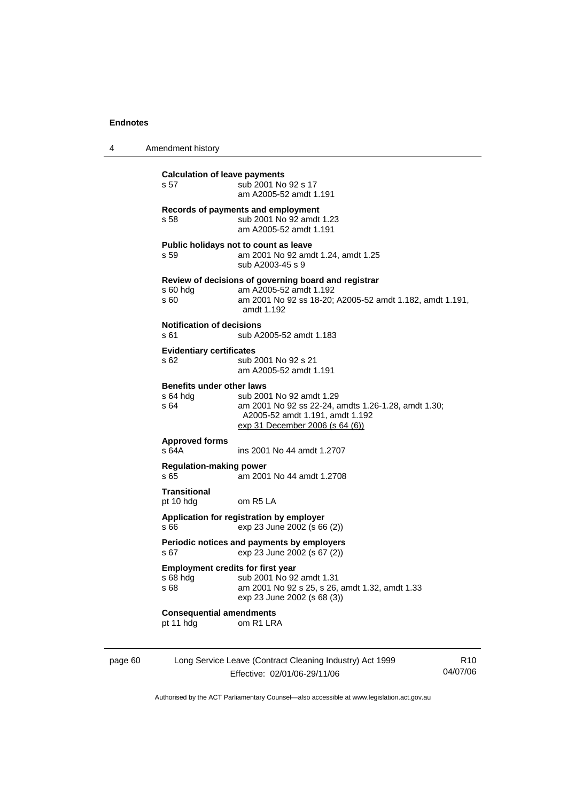4 Amendment history page 60 Long Service Leave (Contract Cleaning Industry) Act 1999 R10 **Calculation of leave payments**  s 57 sub 2001 No 92 s 17 am A2005-52 amdt 1.191 **Records of payments and employment**  s 58 sub 2001 No 92 amdt 1.23 am A2005-52 amdt 1.191 **Public holidays not to count as leave**  s 59 am 2001 No 92 amdt 1.24, amdt 1.25 sub A2003-45 s 9 **Review of decisions of governing board and registrar**  s 60 hdg am A2005-52 amdt 1.192<br>s 60 am 2001 No 92 ss 18-20: am 2001 No 92 ss 18-20; A2005-52 amdt 1.182, amdt 1.191, amdt 1.192 **Notification of decisions**  s 61 sub A2005-52 amdt 1.183 **Evidentiary certificates**  s 62 sub 2001 No 92 s 21 am A2005-52 amdt 1.191 **Benefits under other laws**<br>s 64 hdg<br>**b** 200 sub 2001 No 92 amdt 1.29 s 64 am 2001 No 92 ss 22-24, amdts 1.26-1.28, amdt 1.30; A2005-52 amdt 1.191, amdt 1.192 exp 31 December 2006 (s 64 (6)) **Approved forms**  s 64A ins 2001 No 44 amdt 1.2707 **Regulation-making power**  s 65 am 2001 No 44 amdt 1.2708 **Transitional**  pt 10 hdg om R5 LA **Application for registration by employer**  s 66 exp 23 June 2002 (s 66 (2)) **Periodic notices and payments by employers**  s 67 exp 23 June 2002 (s 67 (2)) **Employment credits for first year**<br>s 68 hdg sub 2001 No 92 s 68 hdg sub 2001 No 92 amdt 1.31<br>s 68 sam 2001 No 92 s 25, s 26, am 2001 No 92 s 25, s 26, amdt 1.32, amdt 1.33 exp 23 June 2002 (s 68 (3)) **Consequential amendments**  pt 11 hdg om R1 LRA

Authorised by the ACT Parliamentary Counsel—also accessible at www.legislation.act.gov.au

04/07/06

Effective: 02/01/06-29/11/06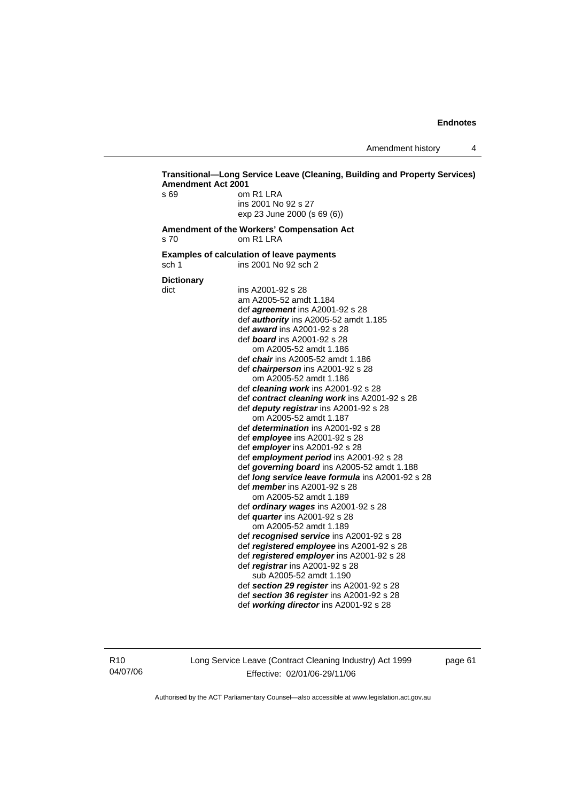Amendment history 4

### **Transitional—Long Service Leave (Cleaning, Building and Property Services) Amendment Act 2001**  s 69 om R1 LRA ins 2001 No 92 s 27 exp 23 June 2000 (s 69 (6)) **Amendment of the Workers' Compensation Act**  s 70 om R1 LRA **Examples of calculation of leave payments**  sch 1 ins 2001 No 92 sch 2 **Dictionary**  dict ins A2001-92 s 28 am A2005-52 amdt 1.184 def *agreement* ins A2001-92 s 28 def *authority* ins A2005-52 amdt 1.185 def *award* ins A2001-92 s 28 def *board* ins A2001-92 s 28 om A2005-52 amdt 1.186 def *chair* ins A2005-52 amdt 1.186 def *chairperson* ins A2001-92 s 28 om A2005-52 amdt 1.186 def *cleaning work* ins A2001-92 s 28 def *contract cleaning work* ins A2001-92 s 28 def *deputy registrar* ins A2001-92 s 28 om A2005-52 amdt 1.187 def *determination* ins A2001-92 s 28 def *employee* ins A2001-92 s 28 def *employer* ins A2001-92 s 28 def *employment period* ins A2001-92 s 28 def *governing board* ins A2005-52 amdt 1.188 def *long service leave formula* ins A2001-92 s 28 def *member* ins A2001-92 s 28 om A2005-52 amdt 1.189 def *ordinary wages* ins A2001-92 s 28 def *quarter* ins A2001-92 s 28 om A2005-52 amdt 1.189 def *recognised service* ins A2001-92 s 28 def *registered employee* ins A2001-92 s 28 def *registered employer* ins A2001-92 s 28 def *registrar* ins A2001-92 s 28 sub A2005-52 amdt 1.190 def *section 29 register* ins A2001-92 s 28 def *section 36 register* ins A2001-92 s 28 def *working director* ins A2001-92 s 28

R10 04/07/06 Long Service Leave (Contract Cleaning Industry) Act 1999 Effective: 02/01/06-29/11/06

page 61